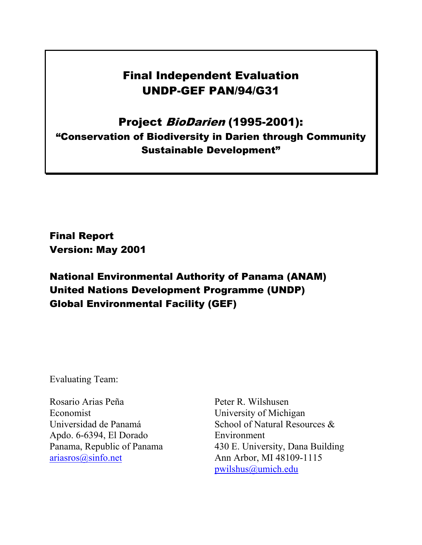# Final Independent Evaluation UNDP-GEF PAN/94/G31

# Project BioDarien (1995-2001): "Conservation of Biodiversity in Darien through Community Sustainable Development"

Final Report Version: May 2001

National Environmental Authority of Panama (ANAM) United Nations Development Programme (UNDP) Global Environmental Facility (GEF)

Evaluating Team:

Rosario Arias Peña Economist Universidad de Panamá Apdo. 6-6394, El Dorado Panama, Republic of Panama [ariasros@sinfo.net](mailto:ariasros@sinfo.net) 

Peter R. Wilshusen University of Michigan School of Natural Resources & Environment 430 E. University, Dana Building Ann Arbor, MI 48109-1115 [pwilshus@umich.edu](mailto:pwilshus@umich.edu)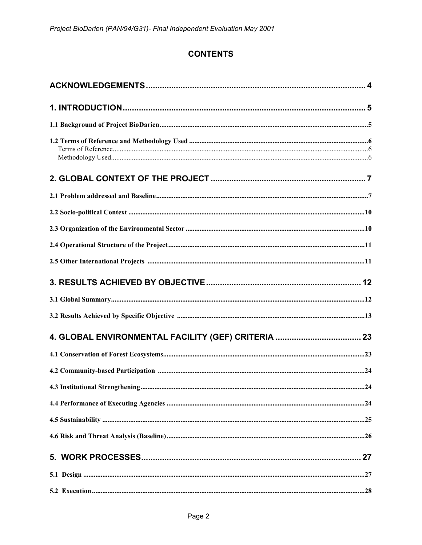# **CONTENTS**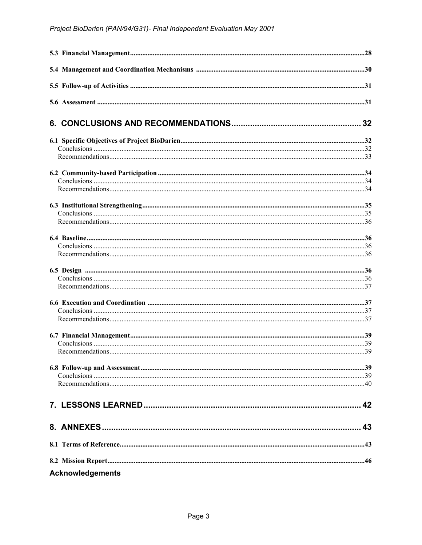| <b>Acknowledgements</b> |  |
|-------------------------|--|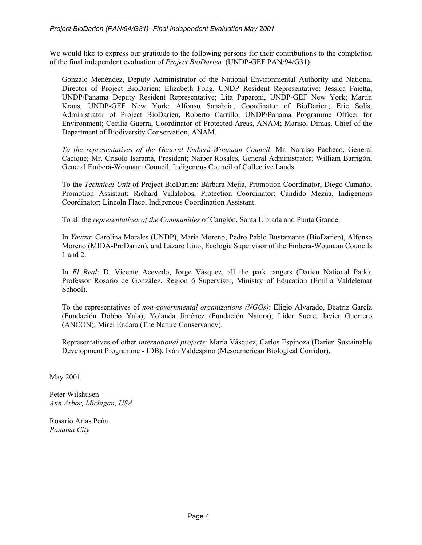We would like to express our gratitude to the following persons for their contributions to the completion of the final independent evaluation of *Project BioDarien* (UNDP-GEF PAN/94/G31):

Gonzalo Menéndez, Deputy Administrator of the National Environmental Authority and National Director of Project BioDarien; Elizabeth Fong, UNDP Resident Representative; Jessica Faietta, UNDP/Panama Deputy Resident Representative; Lita Paparoni, UNDP-GEF New York; Martin Kraus, UNDP-GEF New York; Alfonso Sanabria, Coordinator of BioDarien; Eric Solís, Administrator of Project BioDarien, Roberto Carrillo, UNDP/Panama Programme Officer for Environment; Cecilia Guerra, Coordinator of Protected Areas, ANAM; Marisol Dimas, Chief of the Department of Biodiversity Conservation, ANAM.

*To the representatives of the General Emberá-Wounaan Council*: Mr. Narciso Pacheco, General Cacique; Mr. Crisolo Isaramá, President; Naiper Rosales, General Administrator; William Barrigón, General Emberá-Wounaan Council, Indigenous Council of Collective Lands.

To the *Technical Unit* of Project BioDarien: Bárbara Mejía, Promotion Coordinator, Diego Camaño, Promotion Assistant; Richard Villalobos, Protection Coordinator; Cándido Mezúa, Indigenous Coordinator; Lincoln Flaco, Indigenous Coordination Assistant.

To all the *representatives of the Communities* of Canglón, Santa Librada and Punta Grande.

In *Yaviza*: Carolina Morales (UNDP), María Moreno, Pedro Pablo Bustamante (BioDarien), Alfonso Moreno (MIDA-ProDarien), and Lázaro Lino, Ecologic Supervisor of the Emberá-Wounaan Councils 1 and 2.

In *El Real*: D. Vicente Acevedo, Jorge Vásquez, all the park rangers (Darien National Park); Professor Rosario de González, Region 6 Supervisor, Ministry of Education (Emilia Valdelemar School).

To the representatives of *non-governmental organizations (NGOs)*: Eligio Alvarado, Beatriz García (Fundación Dobbo Yala); Yolanda Jiménez (Fundación Natura); Lider Sucre, Javier Guerrero (ANCON); Mirei Endara (The Nature Conservancy).

Representatives of other *international projects*: María Vásquez, Carlos Espinoza (Darien Sustainable Development Programme - IDB), Iván Valdespino (Mesoamerican Biological Corridor).

May 2001

Peter Wilshusen *Ann Arbor, Michigan, USA*

Rosario Arias Peña *Panama City*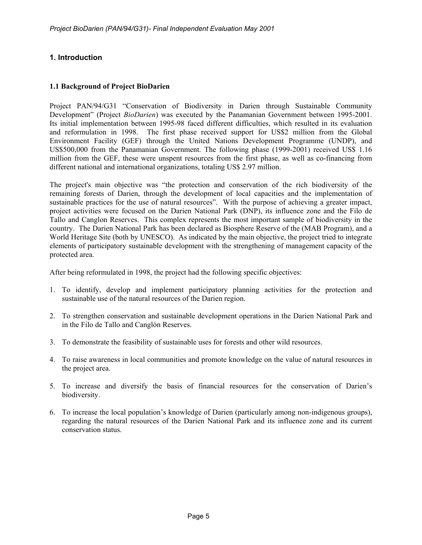# **1. Introduction**

### **1.1 Background of Project BioDarien**

Project PAN/94/G31 "Conservation of Biodiversity in Darien through Sustainable Community Development" (Project *BioDarien*) was executed by the Panamanian Government between 1995-2001. Its initial implementation between 1995-98 faced different difficulties, which resulted in its evaluation and reformulation in 1998. The first phase received support for US\$2 million from the Global Environment Facility (GEF) through the United Nations Development Programme (UNDP), and US\$500,000 from the Panamanian Government. The following phase (1999-2001) received US\$ 1.16 million from the GEF, these were unspent resources from the first phase, as well as co-financing from different national and international organizations, totaling US\$ 2.97 million.

The project's main objective was "the protection and conservation of the rich biodiversity of the remaining forests of Darien, through the development of local capacities and the implementation of sustainable practices for the use of natural resources". With the purpose of achieving a greater impact, project activities were focused on the Darien National Park (DNP), its influence zone and the Filo de Tallo and Canglon Reserves. This complex represents the most important sample of biodiversity in the country. The Darien National Park has been declared as Biosphere Reserve of the (MAB Program), and a World Heritage Site (both by UNESCO). As indicated by the main objective, the project tried to integrate elements of participatory sustainable development with the strengthening of management capacity of the protected area.

After being reformulated in 1998, the project had the following specific objectives:

- 1. To identify, develop and implement participatory planning activities for the protection and sustainable use of the natural resources of the Darien region.
- 2. To strengthen conservation and sustainable development operations in the Darien National Park and in the Filo de Tallo and Canglón Reserves.
- 3. To demonstrate the feasibility of sustainable uses for forests and other wild resources.
- 4. To raise awareness in local communities and promote knowledge on the value of natural resources in the project area.
- 5. To increase and diversify the basis of financial resources for the conservation of Darien's biodiversity.
- 6. To increase the local population's knowledge of Darien (particularly among non-indigenous groups), regarding the natural resources of the Darien National Park and its influence zone and its current conservation status.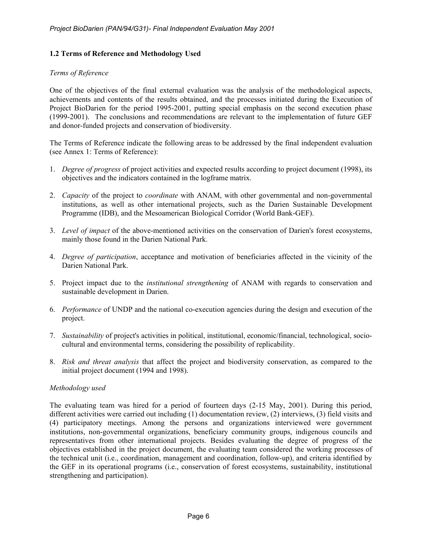### **1.2 Terms of Reference and Methodology Used**

#### *Terms of Reference*

One of the objectives of the final external evaluation was the analysis of the methodological aspects, achievements and contents of the results obtained, and the processes initiated during the Execution of Project BioDarien for the period 1995-2001, putting special emphasis on the second execution phase (1999-2001). The conclusions and recommendations are relevant to the implementation of future GEF and donor-funded projects and conservation of biodiversity.

The Terms of Reference indicate the following areas to be addressed by the final independent evaluation (see Annex 1: Terms of Reference):

- 1. *Degree of progress* of project activities and expected results according to project document (1998), its objectives and the indicators contained in the logframe matrix.
- 2. *Capacity* of the project to *coordinate* with ANAM, with other governmental and non-governmental institutions, as well as other international projects, such as the Darien Sustainable Development Programme (IDB), and the Mesoamerican Biological Corridor (World Bank-GEF).
- 3. *Level of impact* of the above-mentioned activities on the conservation of Darien's forest ecosystems, mainly those found in the Darien National Park.
- 4. *Degree of participation*, acceptance and motivation of beneficiaries affected in the vicinity of the Darien National Park.
- 5. Project impact due to the *institutional strengthening* of ANAM with regards to conservation and sustainable development in Darien.
- 6. *Performance* of UNDP and the national co-execution agencies during the design and execution of the project.
- 7. *Sustainability* of project's activities in political, institutional, economic/financial, technological, sociocultural and environmental terms, considering the possibility of replicability.
- 8. *Risk and threat analysis* that affect the project and biodiversity conservation, as compared to the initial project document (1994 and 1998).

#### *Methodology used*

The evaluating team was hired for a period of fourteen days (2-15 May, 2001). During this period, different activities were carried out including (1) documentation review, (2) interviews, (3) field visits and (4) participatory meetings. Among the persons and organizations interviewed were government institutions, non-governmental organizations, beneficiary community groups, indigenous councils and representatives from other international projects. Besides evaluating the degree of progress of the objectives established in the project document, the evaluating team considered the working processes of the technical unit (i.e., coordination, management and coordination, follow-up), and criteria identified by the GEF in its operational programs (i.e., conservation of forest ecosystems, sustainability, institutional strengthening and participation).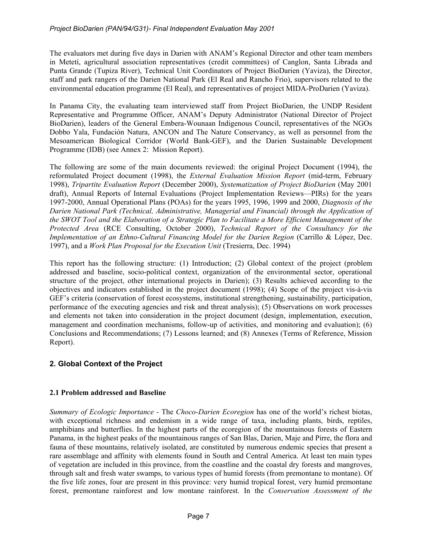The evaluators met during five days in Darien with ANAM's Regional Director and other team members in Metetí, agricultural association representatives (credit committees) of Canglon, Santa Librada and Punta Grande (Tupiza River), Technical Unit Coordinators of Project BioDarien (Yaviza), the Director, staff and park rangers of the Darien National Park (El Real and Rancho Frio), supervisors related to the environmental education programme (El Real), and representatives of project MIDA-ProDarien (Yaviza).

In Panama City, the evaluating team interviewed staff from Project BioDarien, the UNDP Resident Representative and Programme Officer, ANAM's Deputy Administrator (National Director of Project BioDarien), leaders of the General Embera-Wounaan Indigenous Council, representatives of the NGOs Dobbo Yala, Fundación Natura, ANCON and The Nature Conservancy, as well as personnel from the Mesoamerican Biological Corridor (World Bank-GEF), and the Darien Sustainable Development Programme (IDB) (see Annex 2: Mission Report).

The following are some of the main documents reviewed: the original Project Document (1994), the reformulated Project document (1998), the *External Evaluation Mission Report* (mid-term, February 1998), *Tripartite Evaluation Report* (December 2000), *Systematization of Project BioDarien* (May 2001 draft), Annual Reports of Internal Evaluations (Project Implementation Reviews—PIRs) for the years 1997-2000, Annual Operational Plans (POAs) for the years 1995, 1996, 1999 and 2000, *Diagnosis of the Darien National Park (Technical, Administrative, Managerial and Financial) through the Application of the SWOT Tool and the Elaboration of a Strategic Plan to Facilitate a More Efficient Management of the Protected Area* (RCE Consulting, October 2000), *Technical Report of the Consultancy for the Implementation of an Ethno-Cultural Financing Model for the Darien Region (Carrillo & López, Dec.* 1997), and a *Work Plan Proposal for the Execution Unit* (Tresierra, Dec. 1994)

This report has the following structure: (1) Introduction; (2) Global context of the project (problem addressed and baseline, socio-political context, organization of the environmental sector, operational structure of the project, other international projects in Darien); (3) Results achieved according to the objectives and indicators established in the project document (1998); (4) Scope of the project vis-à-vis GEF's criteria (conservation of forest ecosystems, institutional strengthening, sustainability, participation, performance of the executing agencies and risk and threat analysis); (5) Observations on work processes and elements not taken into consideration in the project document (design, implementation, execution, management and coordination mechanisms, follow-up of activities, and monitoring and evaluation); (6) Conclusions and Recommendations; (7) Lessons learned; and (8) Annexes (Terms of Reference, Mission Report).

# **2. Global Context of the Project**

# **2.1 Problem addressed and Baseline**

*Summary of Ecologic Importance -* The *Choco-Darien Ecoregion* has one of the world's richest biotas, with exceptional richness and endemism in a wide range of taxa, including plants, birds, reptiles, amphibians and butterflies. In the highest parts of the ecoregion of the mountainous forests of Eastern Panama, in the highest peaks of the mountainous ranges of San Blas, Darien, Maje and Pirre, the flora and fauna of these mountains, relatively isolated, are constituted by numerous endemic species that present a rare assemblage and affinity with elements found in South and Central America. At least ten main types of vegetation are included in this province, from the coastline and the coastal dry forests and mangroves, through salt and fresh water swamps, to various types of humid forests (from premontane to montane). Of the five life zones, four are present in this province: very humid tropical forest, very humid premontane forest, premontane rainforest and low montane rainforest. In the *Conservation Assessment of the*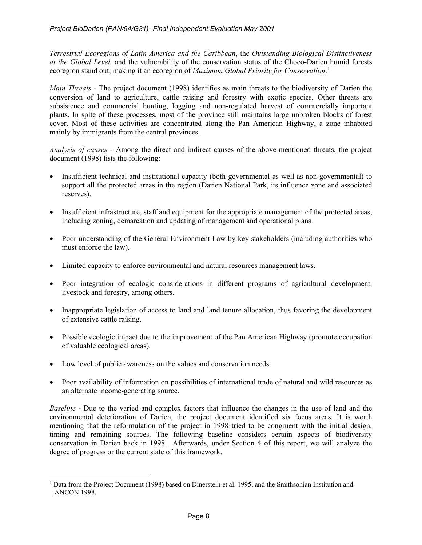*Terrestrial Ecoregions of Latin America and the Caribbean*, the *Outstanding Biological Distinctiveness at the Global Level,* and the vulnerability of the conservation status of the Choco-Darien humid forests ecoregion stand out, making it an ecoregion of *Maximum Global Priority for Conservation*. [1](#page-7-0)

*Main Threats -* The project document (1998) identifies as main threats to the biodiversity of Darien the conversion of land to agriculture, cattle raising and forestry with exotic species. Other threats are subsistence and commercial hunting, logging and non-regulated harvest of commercially important plants. In spite of these processes, most of the province still maintains large unbroken blocks of forest cover. Most of these activities are concentrated along the Pan American Highway, a zone inhabited mainly by immigrants from the central provinces.

*Analysis of causes -* Among the direct and indirect causes of the above-mentioned threats, the project document (1998) lists the following:

- Insufficient technical and institutional capacity (both governmental as well as non-governmental) to support all the protected areas in the region (Darien National Park, its influence zone and associated reserves).
- Insufficient infrastructure, staff and equipment for the appropriate management of the protected areas, including zoning, demarcation and updating of management and operational plans.
- Poor understanding of the General Environment Law by key stakeholders (including authorities who must enforce the law).
- Limited capacity to enforce environmental and natural resources management laws.
- Poor integration of ecologic considerations in different programs of agricultural development, livestock and forestry, among others.
- Inappropriate legislation of access to land and land tenure allocation, thus favoring the development of extensive cattle raising.
- Possible ecologic impact due to the improvement of the Pan American Highway (promote occupation of valuable ecological areas).
- Low level of public awareness on the values and conservation needs.
- Poor availability of information on possibilities of international trade of natural and wild resources as an alternate income-generating source.

*Baseline* - Due to the varied and complex factors that influence the changes in the use of land and the environmental deterioration of Darien, the project document identified six focus areas. It is worth mentioning that the reformulation of the project in 1998 tried to be congruent with the initial design, timing and remaining sources. The following baseline considers certain aspects of biodiversity conservation in Darien back in 1998. Afterwards, under Section 4 of this report, we will analyze the degree of progress or the current state of this framework.

<span id="page-7-0"></span> $\overline{a}$ <sup>1</sup> Data from the Project Document (1998) based on Dinerstein et al. 1995, and the Smithsonian Institution and ANCON 1998.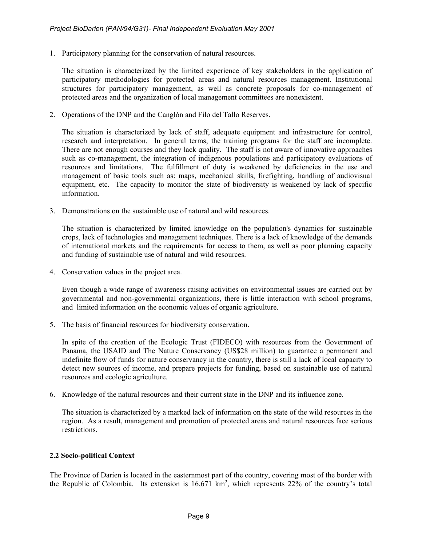1. Participatory planning for the conservation of natural resources.

The situation is characterized by the limited experience of key stakeholders in the application of participatory methodologies for protected areas and natural resources management. Institutional structures for participatory management, as well as concrete proposals for co-management of protected areas and the organization of local management committees are nonexistent.

2. Operations of the DNP and the Canglón and Filo del Tallo Reserves.

The situation is characterized by lack of staff, adequate equipment and infrastructure for control, research and interpretation. In general terms, the training programs for the staff are incomplete. There are not enough courses and they lack quality. The staff is not aware of innovative approaches such as co-management, the integration of indigenous populations and participatory evaluations of resources and limitations. The fulfillment of duty is weakened by deficiencies in the use and management of basic tools such as: maps, mechanical skills, firefighting, handling of audiovisual equipment, etc. The capacity to monitor the state of biodiversity is weakened by lack of specific information.

3. Demonstrations on the sustainable use of natural and wild resources.

The situation is characterized by limited knowledge on the population's dynamics for sustainable crops, lack of technologies and management techniques. There is a lack of knowledge of the demands of international markets and the requirements for access to them, as well as poor planning capacity and funding of sustainable use of natural and wild resources.

4. Conservation values in the project area.

Even though a wide range of awareness raising activities on environmental issues are carried out by governmental and non-governmental organizations, there is little interaction with school programs, and limited information on the economic values of organic agriculture.

5. The basis of financial resources for biodiversity conservation.

In spite of the creation of the Ecologic Trust (FIDECO) with resources from the Government of Panama, the USAID and The Nature Conservancy (US\$28 million) to guarantee a permanent and indefinite flow of funds for nature conservancy in the country, there is still a lack of local capacity to detect new sources of income, and prepare projects for funding, based on sustainable use of natural resources and ecologic agriculture.

6. Knowledge of the natural resources and their current state in the DNP and its influence zone.

The situation is characterized by a marked lack of information on the state of the wild resources in the region. As a result, management and promotion of protected areas and natural resources face serious restrictions.

# **2.2 Socio-political Context**

The Province of Darien is located in the easternmost part of the country, covering most of the border with the Republic of Colombia. Its extension is  $16,671 \text{ km}^2$ , which represents 22% of the country's total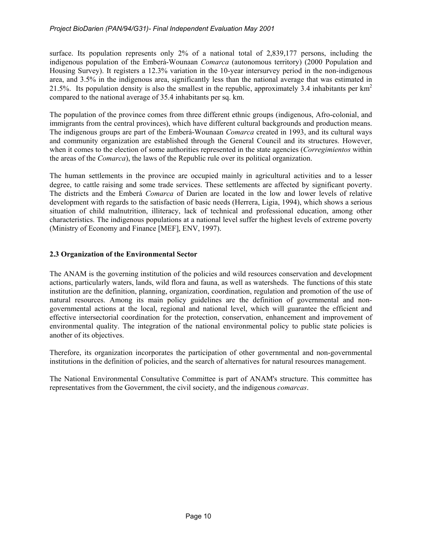surface. Its population represents only 2% of a national total of 2,839,177 persons, including the indigenous population of the Emberá-Wounaan *Comarca* (autonomous territory) (2000 Population and Housing Survey). It registers a 12.3% variation in the 10-year intersurvey period in the non-indigenous area, and 3.5% in the indigenous area, significantly less than the national average that was estimated in 21.5%. Its population density is also the smallest in the republic, approximately 3.4 inhabitants per  $km<sup>2</sup>$ compared to the national average of 35.4 inhabitants per sq. km.

The population of the province comes from three different ethnic groups (indigenous, Afro-colonial, and immigrants from the central provinces), which have different cultural backgrounds and production means. The indigenous groups are part of the Emberá-Wounaan *Comarca* created in 1993, and its cultural ways and community organization are established through the General Council and its structures. However, when it comes to the election of some authorities represented in the state agencies (*Corregimientos* within the areas of the *Comarca*), the laws of the Republic rule over its political organization.

The human settlements in the province are occupied mainly in agricultural activities and to a lesser degree, to cattle raising and some trade services. These settlements are affected by significant poverty. The districts and the Emberá *Comarca* of Darien are located in the low and lower levels of relative development with regards to the satisfaction of basic needs (Herrera, Ligia, 1994), which shows a serious situation of child malnutrition, illiteracy, lack of technical and professional education, among other characteristics. The indigenous populations at a national level suffer the highest levels of extreme poverty (Ministry of Economy and Finance [MEF], ENV, 1997).

# **2.3 Organization of the Environmental Sector**

The ANAM is the governing institution of the policies and wild resources conservation and development actions, particularly waters, lands, wild flora and fauna, as well as watersheds. The functions of this state institution are the definition, planning, organization, coordination, regulation and promotion of the use of natural resources. Among its main policy guidelines are the definition of governmental and nongovernmental actions at the local, regional and national level, which will guarantee the efficient and effective intersectorial coordination for the protection, conservation, enhancement and improvement of environmental quality. The integration of the national environmental policy to public state policies is another of its objectives.

Therefore, its organization incorporates the participation of other governmental and non-governmental institutions in the definition of policies, and the search of alternatives for natural resources management.

The National Environmental Consultative Committee is part of ANAM's structure. This committee has representatives from the Government, the civil society, and the indigenous *comarcas*.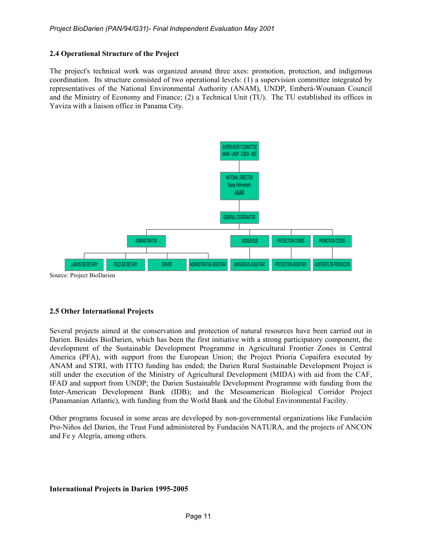### **2.4 Operational Structure of the Project**

The project's technical work was organized around three axes: promotion, protection, and indigenous coordination. Its structure consisted of two operational levels: (1) a supervision committee integrated by representatives of the National Environmental Authority (ANAM), UNDP, Emberá-Wounaan Council and the Ministry of Economy and Finance; (2) a Technical Unit (TU). The TU established its offices in Yaviza with a liaison office in Panama City.



### **2.5 Other International Projects**

Several projects aimed at the conservation and protection of natural resources have been carried out in Darien. Besides BioDarien, which has been the first initiative with a strong participatory component, the development of the Sustainable Development Programme in Agricultural Frontier Zones in Central America (PFA), with support from the European Union; the Project Prioria Copaifera executed by ANAM and STRI, with ITTO funding has ended; the Darien Rural Sustainable Development Project is still under the execution of the Ministry of Agricultural Development (MIDA) with aid from the CAF, IFAD and support from UNDP; the Darien Sustainable Development Programme with funding from the Inter-American Development Bank (IDB); and the Mesoamerican Biological Corridor Project (Panamanian Atlantic), with funding from the World Bank and the Global Environmental Facility.

Other programs focused in some areas are developed by non-governmental organizations like Fundación Pro-Niños del Darien, the Trust Fund administered by Fundación NATURA, and the projects of ANCON and Fe y Alegría, among others.

### **International Projects in Darien 1995-2005**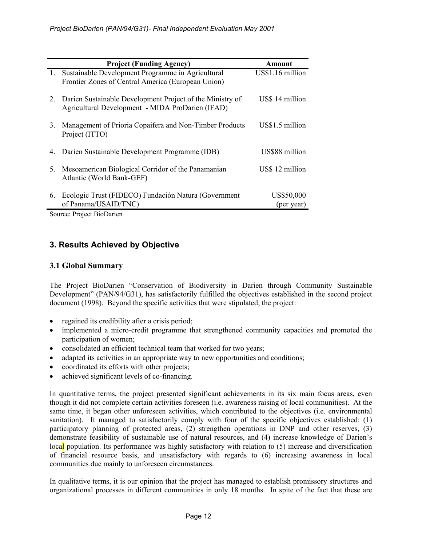|    | <b>Project (Funding Agency)</b>                                                                               | Amount                   |
|----|---------------------------------------------------------------------------------------------------------------|--------------------------|
| 1. | Sustainable Development Programme in Agricultural<br>Frontier Zones of Central America (European Union)       | US\$1.16 million         |
| 2. | Darien Sustainable Development Project of the Ministry of<br>Agricultural Development - MIDA ProDarien (IFAD) | US\$ 14 million          |
| 3. | Management of Prioria Copaifera and Non-Timber Products<br>Project (ITTO)                                     | US\$1.5 million          |
| 4. | Darien Sustainable Development Programme (IDB)                                                                | US\$88 million           |
| 5. | Mesoamerican Biological Corridor of the Panamanian<br>Atlantic (World Bank-GEF)                               | US\$ 12 million          |
| 6. | Ecologic Trust (FIDECO) Fundación Natura (Government<br>of Panama/USAID/TNC)                                  | US\$50,000<br>(per year) |

Source: Project BioDarien

# **3. Results Achieved by Objective**

# **3.1 Global Summary**

The Project BioDarien "Conservation of Biodiversity in Darien through Community Sustainable Development" (PAN/94/G31), has satisfactorily fulfilled the objectives established in the second project document (1998). Beyond the specific activities that were stipulated, the project:

- regained its credibility after a crisis period;
- implemented a micro-credit programme that strengthened community capacities and promoted the participation of women;
- consolidated an efficient technical team that worked for two years;
- adapted its activities in an appropriate way to new opportunities and conditions;
- coordinated its efforts with other projects;
- achieved significant levels of co-financing.

In quantitative terms, the project presented significant achievements in its six main focus areas, even though it did not complete certain activities foreseen (i.e. awareness raising of local communities). At the same time, it began other unforeseen activities, which contributed to the objectives (i.e. environmental sanitation). It managed to satisfactorily comply with four of the specific objectives established: (1) participatory planning of protected areas, (2) strengthen operations in DNP and other reserves, (3) demonstrate feasibility of sustainable use of natural resources, and (4) increase knowledge of Darien's local population. Its performance was highly satisfactory with relation to (5) increase and diversification of financial resource basis, and unsatisfactory with regards to (6) increasing awareness in local communities due mainly to unforeseen circumstances.

In qualitative terms, it is our opinion that the project has managed to establish promissory structures and organizational processes in different communities in only 18 months. In spite of the fact that these are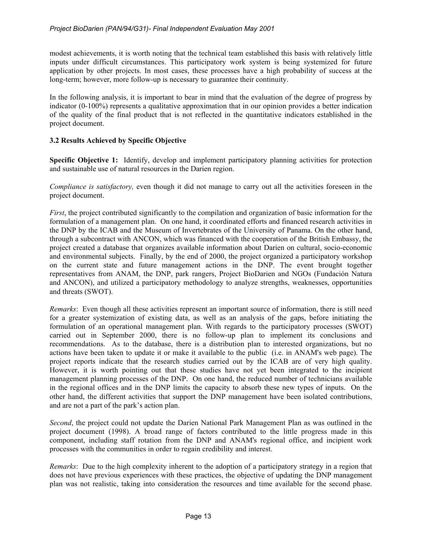modest achievements, it is worth noting that the technical team established this basis with relatively little inputs under difficult circumstances. This participatory work system is being systemized for future application by other projects. In most cases, these processes have a high probability of success at the long-term; however, more follow-up is necessary to guarantee their continuity.

In the following analysis, it is important to bear in mind that the evaluation of the degree of progress by indicator (0-100%) represents a qualitative approximation that in our opinion provides a better indication of the quality of the final product that is not reflected in the quantitative indicators established in the project document.

# **3.2 Results Achieved by Specific Objective**

**Specific Objective 1:** Identify, develop and implement participatory planning activities for protection and sustainable use of natural resources in the Darien region.

*Compliance is satisfactory*, even though it did not manage to carry out all the activities foreseen in the project document.

*First*, the project contributed significantly to the compilation and organization of basic information for the formulation of a management plan. On one hand, it coordinated efforts and financed research activities in the DNP by the ICAB and the Museum of Invertebrates of the University of Panama. On the other hand, through a subcontract with ANCON, which was financed with the cooperation of the British Embassy, the project created a database that organizes available information about Darien on cultural, socio-economic and environmental subjects. Finally, by the end of 2000, the project organized a participatory workshop on the current state and future management actions in the DNP. The event brought together representatives from ANAM, the DNP, park rangers, Project BioDarien and NGOs (Fundación Natura and ANCON), and utilized a participatory methodology to analyze strengths, weaknesses, opportunities and threats (SWOT).

*Remarks*: Even though all these activities represent an important source of information, there is still need for a greater systemization of existing data, as well as an analysis of the gaps, before initiating the formulation of an operational management plan. With regards to the participatory processes (SWOT) carried out in September 2000, there is no follow-up plan to implement its conclusions and recommendations. As to the database, there is a distribution plan to interested organizations, but no actions have been taken to update it or make it available to the public (i.e. in ANAM's web page). The project reports indicate that the research studies carried out by the ICAB are of very high quality. However, it is worth pointing out that these studies have not yet been integrated to the incipient management planning processes of the DNP. On one hand, the reduced number of technicians available in the regional offices and in the DNP limits the capacity to absorb these new types of inputs. On the other hand, the different activities that support the DNP management have been isolated contributions, and are not a part of the park's action plan.

*Second*, the project could not update the Darien National Park Management Plan as was outlined in the project document (1998). A broad range of factors contributed to the little progress made in this component, including staff rotation from the DNP and ANAM's regional office, and incipient work processes with the communities in order to regain credibility and interest.

*Remarks*: Due to the high complexity inherent to the adoption of a participatory strategy in a region that does not have previous experiences with these practices, the objective of updating the DNP management plan was not realistic, taking into consideration the resources and time available for the second phase.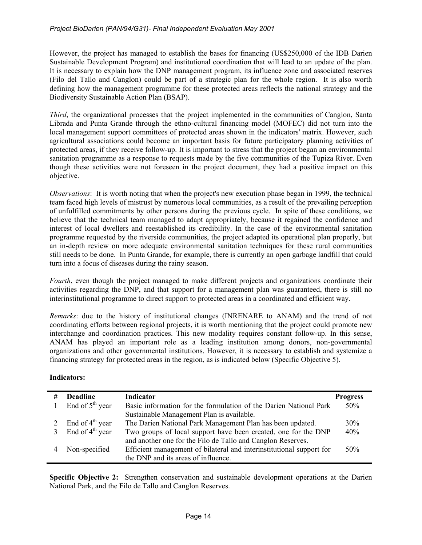### *Project BioDarien (PAN/94/G31)- Final Independent Evaluation May 2001*

However, the project has managed to establish the bases for financing (US\$250,000 of the IDB Darien Sustainable Development Program) and institutional coordination that will lead to an update of the plan. It is necessary to explain how the DNP management program, its influence zone and associated reserves (Filo del Tallo and Canglon) could be part of a strategic plan for the whole region. It is also worth defining how the management programme for these protected areas reflects the national strategy and the Biodiversity Sustainable Action Plan (BSAP).

*Third*, the organizational processes that the project implemented in the communities of Canglon, Santa Librada and Punta Grande through the ethno-cultural financing model (MOFEC) did not turn into the local management support committees of protected areas shown in the indicators' matrix. However, such agricultural associations could become an important basis for future participatory planning activities of protected areas, if they receive follow-up. It is important to stress that the project began an environmental sanitation programme as a response to requests made by the five communities of the Tupiza River. Even though these activities were not foreseen in the project document, they had a positive impact on this objective.

*Observations*: It is worth noting that when the project's new execution phase began in 1999, the technical team faced high levels of mistrust by numerous local communities, as a result of the prevailing perception of unfulfilled commitments by other persons during the previous cycle. In spite of these conditions, we believe that the technical team managed to adapt appropriately, because it regained the confidence and interest of local dwellers and reestablished its credibility. In the case of the environmental sanitation programme requested by the riverside communities, the project adapted its operational plan properly, but an in-depth review on more adequate environmental sanitation techniques for these rural communities still needs to be done. In Punta Grande, for example, there is currently an open garbage landfill that could turn into a focus of diseases during the rainy season.

*Fourth*, even though the project managed to make different projects and organizations coordinate their activities regarding the DNP, and that support for a management plan was guaranteed, there is still no interinstitutional programme to direct support to protected areas in a coordinated and efficient way.

*Remarks*: due to the history of institutional changes (INRENARE to ANAM) and the trend of not coordinating efforts between regional projects, it is worth mentioning that the project could promote new interchange and coordination practices. This new modality requires constant follow-up. In this sense, ANAM has played an important role as a leading institution among donors, non-governmental organizations and other governmental institutions. However, it is necessary to establish and systemize a financing strategy for protected areas in the region, as is indicated below (Specific Objective 5).

### **Indicators:**

| # | <b>Deadline</b>             | <b>Indicator</b>                                                     | <b>Progress</b> |
|---|-----------------------------|----------------------------------------------------------------------|-----------------|
|   | End of $5th$ year           | Basic information for the formulation of the Darien National Park    | 50%             |
|   |                             | Sustainable Management Plan is available.                            |                 |
|   | End of $4th$ year           | The Darien National Park Management Plan has been updated.           | 30%             |
|   | End of 4 <sup>th</sup> year | Two groups of local support have been created, one for the DNP       | 40%             |
|   |                             | and another one for the Filo de Tallo and Canglon Reserves.          |                 |
|   | Non-specified               | Efficient management of bilateral and interinstitutional support for | 50%             |
|   |                             | the DNP and its areas of influence.                                  |                 |

**Specific Objective 2:** Strengthen conservation and sustainable development operations at the Darien National Park, and the Filo de Tallo and Canglon Reserves.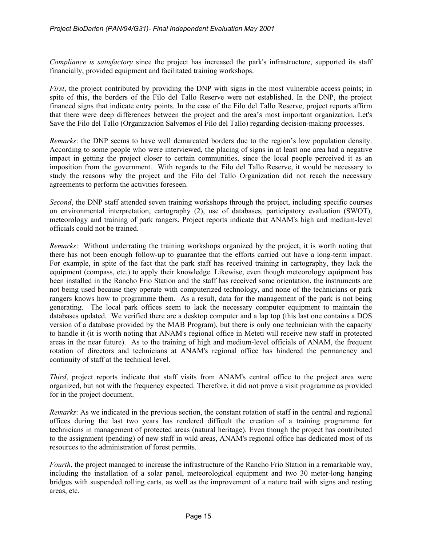*Compliance is satisfactory* since the project has increased the park's infrastructure, supported its staff financially, provided equipment and facilitated training workshops.

*First*, the project contributed by providing the DNP with signs in the most vulnerable access points; in spite of this, the borders of the Filo del Tallo Reserve were not established. In the DNP, the project financed signs that indicate entry points. In the case of the Filo del Tallo Reserve, project reports affirm that there were deep differences between the project and the area's most important organization, Let's Save the Filo del Tallo (Organización Salvemos el Filo del Tallo) regarding decision-making processes.

*Remarks*: the DNP seems to have well demarcated borders due to the region's low population density. According to some people who were interviewed, the placing of signs in at least one area had a negative impact in getting the project closer to certain communities, since the local people perceived it as an imposition from the government. With regards to the Filo del Tallo Reserve, it would be necessary to study the reasons why the project and the Filo del Tallo Organization did not reach the necessary agreements to perform the activities foreseen.

*Second*, the DNP staff attended seven training workshops through the project, including specific courses on environmental interpretation, cartography (2), use of databases, participatory evaluation (SWOT), meteorology and training of park rangers. Project reports indicate that ANAM's high and medium-level officials could not be trained.

*Remarks*: Without underrating the training workshops organized by the project, it is worth noting that there has not been enough follow-up to guarantee that the efforts carried out have a long-term impact. For example, in spite of the fact that the park staff has received training in cartography, they lack the equipment (compass, etc.) to apply their knowledge. Likewise, even though meteorology equipment has been installed in the Rancho Frio Station and the staff has received some orientation, the instruments are not being used because they operate with computerized technology, and none of the technicians or park rangers knows how to programme them. As a result, data for the management of the park is not being generating. The local park offices seem to lack the necessary computer equipment to maintain the databases updated. We verified there are a desktop computer and a lap top (this last one contains a DOS version of a database provided by the MAB Program), but there is only one technician with the capacity to handle it (it is worth noting that ANAM's regional office in Meteti will receive new staff in protected areas in the near future). As to the training of high and medium-level officials of ANAM, the frequent rotation of directors and technicians at ANAM's regional office has hindered the permanency and continuity of staff at the technical level.

*Third*, project reports indicate that staff visits from ANAM's central office to the project area were organized, but not with the frequency expected. Therefore, it did not prove a visit programme as provided for in the project document.

*Remarks*: As we indicated in the previous section, the constant rotation of staff in the central and regional offices during the last two years has rendered difficult the creation of a training programme for technicians in management of protected areas (natural heritage). Even though the project has contributed to the assignment (pending) of new staff in wild areas, ANAM's regional office has dedicated most of its resources to the administration of forest permits.

*Fourth*, the project managed to increase the infrastructure of the Rancho Frio Station in a remarkable way, including the installation of a solar panel, meteorological equipment and two 30 meter-long hanging bridges with suspended rolling carts, as well as the improvement of a nature trail with signs and resting areas, etc.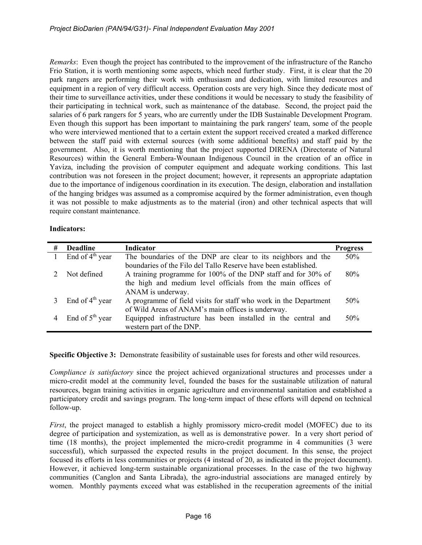*Remarks*: Even though the project has contributed to the improvement of the infrastructure of the Rancho Frio Station, it is worth mentioning some aspects, which need further study. First, it is clear that the 20 park rangers are performing their work with enthusiasm and dedication, with limited resources and equipment in a region of very difficult access. Operation costs are very high. Since they dedicate most of their time to surveillance activities, under these conditions it would be necessary to study the feasibility of their participating in technical work, such as maintenance of the database. Second, the project paid the salaries of 6 park rangers for 5 years, who are currently under the IDB Sustainable Development Program. Even though this support has been important to maintaining the park rangers' team, some of the people who were interviewed mentioned that to a certain extent the support received created a marked difference between the staff paid with external sources (with some additional benefits) and staff paid by the government. Also, it is worth mentioning that the project supported DIRENA (Directorate of Natural Resources) within the General Embera-Wounaan Indigenous Council in the creation of an office in Yaviza, including the provision of computer equipment and adequate working conditions. This last contribution was not foreseen in the project document; however, it represents an appropriate adaptation due to the importance of indigenous coordination in its execution. The design, elaboration and installation of the hanging bridges was assumed as a compromise acquired by the former administration, even though it was not possible to make adjustments as to the material (iron) and other technical aspects that will require constant maintenance.

### **Indicators:**

| # | <b>Deadline</b>   | Indicator                                                        | <b>Progress</b> |  |  |  |
|---|-------------------|------------------------------------------------------------------|-----------------|--|--|--|
|   | End of $4th$ year | The boundaries of the DNP are clear to its neighbors and the     | 50%             |  |  |  |
|   |                   | boundaries of the Filo del Tallo Reserve have been established.  |                 |  |  |  |
|   | Not defined       | A training programme for 100% of the DNP staff and for 30% of    | 80%             |  |  |  |
|   |                   | the high and medium level officials from the main offices of     |                 |  |  |  |
|   |                   | ANAM is underway.                                                |                 |  |  |  |
|   | End of $4th$ year | A programme of field visits for staff who work in the Department | 50%             |  |  |  |
|   |                   | of Wild Areas of ANAM's main offices is underway.                |                 |  |  |  |
|   | End of $5th$ year | Equipped infrastructure has been installed in the central and    | 50%             |  |  |  |
|   |                   | western part of the DNP.                                         |                 |  |  |  |

**Specific Objective 3:** Demonstrate feasibility of sustainable uses for forests and other wild resources.

*Compliance is satisfactory* since the project achieved organizational structures and processes under a micro-credit model at the community level, founded the bases for the sustainable utilization of natural resources, began training activities in organic agriculture and environmental sanitation and established a participatory credit and savings program. The long-term impact of these efforts will depend on technical follow-up.

*First*, the project managed to establish a highly promissory micro-credit model (MOFEC) due to its degree of participation and systemization, as well as is demonstrative power. In a very short period of time (18 months), the project implemented the micro-credit programme in 4 communities (3 were successful), which surpassed the expected results in the project document. In this sense, the project focused its efforts in less communities or projects (4 instead of 20, as indicated in the project document). However, it achieved long-term sustainable organizational processes. In the case of the two highway communities (Canglon and Santa Librada), the agro-industrial associations are managed entirely by women. Monthly payments exceed what was established in the recuperation agreements of the initial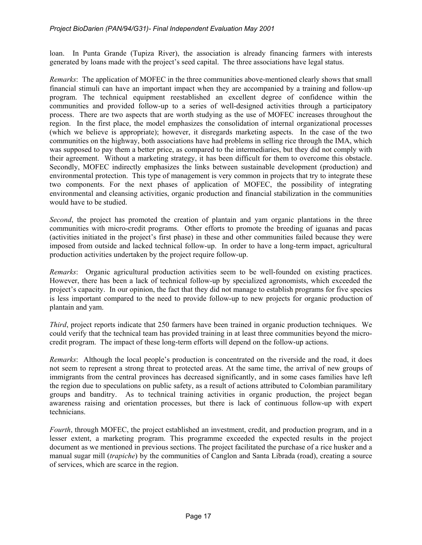loan. In Punta Grande (Tupiza River), the association is already financing farmers with interests generated by loans made with the project's seed capital. The three associations have legal status.

*Remarks*: The application of MOFEC in the three communities above-mentioned clearly shows that small financial stimuli can have an important impact when they are accompanied by a training and follow-up program. The technical equipment reestablished an excellent degree of confidence within the communities and provided follow-up to a series of well-designed activities through a participatory process. There are two aspects that are worth studying as the use of MOFEC increases throughout the region. In the first place, the model emphasizes the consolidation of internal organizational processes (which we believe is appropriate); however, it disregards marketing aspects. In the case of the two communities on the highway, both associations have had problems in selling rice through the IMA, which was supposed to pay them a better price, as compared to the intermediaries, but they did not comply with their agreement. Without a marketing strategy, it has been difficult for them to overcome this obstacle. Secondly, MOFEC indirectly emphasizes the links between sustainable development (production) and environmental protection. This type of management is very common in projects that try to integrate these two components. For the next phases of application of MOFEC, the possibility of integrating environmental and cleansing activities, organic production and financial stabilization in the communities would have to be studied.

*Second*, the project has promoted the creation of plantain and yam organic plantations in the three communities with micro-credit programs. Other efforts to promote the breeding of iguanas and pacas (activities initiated in the project's first phase) in these and other communities failed because they were imposed from outside and lacked technical follow-up. In order to have a long-term impact, agricultural production activities undertaken by the project require follow-up.

*Remarks*: Organic agricultural production activities seem to be well-founded on existing practices. However, there has been a lack of technical follow-up by specialized agronomists, which exceeded the project's capacity. In our opinion, the fact that they did not manage to establish programs for five species is less important compared to the need to provide follow-up to new projects for organic production of plantain and yam.

*Third*, project reports indicate that 250 farmers have been trained in organic production techniques. We could verify that the technical team has provided training in at least three communities beyond the microcredit program. The impact of these long-term efforts will depend on the follow-up actions.

*Remarks*: Although the local people's production is concentrated on the riverside and the road, it does not seem to represent a strong threat to protected areas. At the same time, the arrival of new groups of immigrants from the central provinces has decreased significantly, and in some cases families have left the region due to speculations on public safety, as a result of actions attributed to Colombian paramilitary groups and banditry. As to technical training activities in organic production, the project began awareness raising and orientation processes, but there is lack of continuous follow-up with expert technicians.

*Fourth*, through MOFEC, the project established an investment, credit, and production program, and in a lesser extent, a marketing program. This programme exceeded the expected results in the project document as we mentioned in previous sections. The project facilitated the purchase of a rice husker and a manual sugar mill (*trapiche*) by the communities of Canglon and Santa Librada (road), creating a source of services, which are scarce in the region.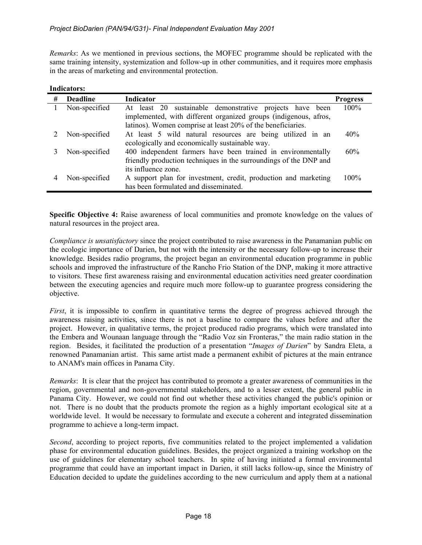*Remarks*: As we mentioned in previous sections, the MOFEC programme should be replicated with the same training intensity, systemization and follow-up in other communities, and it requires more emphasis in the areas of marketing and environmental protection.

### **Indicators:**

| # | <b>Deadline</b> | <b>Indicator</b>                                                  | <b>Progress</b> |
|---|-----------------|-------------------------------------------------------------------|-----------------|
|   | Non-specified   | At least 20 sustainable demonstrative projects have been          | 100%            |
|   |                 | implemented, with different organized groups (indigenous, afros,  |                 |
|   |                 | latinos). Women comprise at least 20% of the beneficiaries.       |                 |
|   | Non-specified   | At least 5 wild natural resources are being utilized in an        | 40%             |
|   |                 | ecologically and economically sustainable way.                    |                 |
|   | Non-specified   | 400 independent farmers have been trained in environmentally      | 60%             |
|   |                 | friendly production techniques in the surroundings of the DNP and |                 |
|   |                 | its influence zone.                                               |                 |
|   | Non-specified   | A support plan for investment, credit, production and marketing   | $100\%$         |
|   |                 | has been formulated and disseminated.                             |                 |

**Specific Objective 4:** Raise awareness of local communities and promote knowledge on the values of natural resources in the project area.

*Compliance is unsatisfactory* since the project contributed to raise awareness in the Panamanian public on the ecologic importance of Darien, but not with the intensity or the necessary follow-up to increase their knowledge. Besides radio programs, the project began an environmental education programme in public schools and improved the infrastructure of the Rancho Frio Station of the DNP, making it more attractive to visitors. These first awareness raising and environmental education activities need greater coordination between the executing agencies and require much more follow-up to guarantee progress considering the objective.

*First*, it is impossible to confirm in quantitative terms the degree of progress achieved through the awareness raising activities, since there is not a baseline to compare the values before and after the project. However, in qualitative terms, the project produced radio programs, which were translated into the Embera and Wounaan language through the "Radio Voz sin Fronteras," the main radio station in the region. Besides, it facilitated the production of a presentation "*Images of Darien*" by Sandra Eleta, a renowned Panamanian artist. This same artist made a permanent exhibit of pictures at the main entrance to ANAM's main offices in Panama City.

*Remarks*: It is clear that the project has contributed to promote a greater awareness of communities in the region, governmental and non-governmental stakeholders, and to a lesser extent, the general public in Panama City. However, we could not find out whether these activities changed the public's opinion or not. There is no doubt that the products promote the region as a highly important ecological site at a worldwide level. It would be necessary to formulate and execute a coherent and integrated dissemination programme to achieve a long-term impact.

*Second*, according to project reports, five communities related to the project implemented a validation phase for environmental education guidelines. Besides, the project organized a training workshop on the use of guidelines for elementary school teachers. In spite of having initiated a formal environmental programme that could have an important impact in Darien, it still lacks follow-up, since the Ministry of Education decided to update the guidelines according to the new curriculum and apply them at a national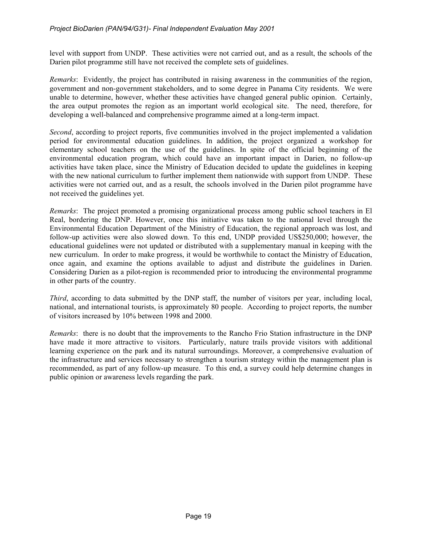level with support from UNDP. These activities were not carried out, and as a result, the schools of the Darien pilot programme still have not received the complete sets of guidelines.

*Remarks*: Evidently, the project has contributed in raising awareness in the communities of the region, government and non-government stakeholders, and to some degree in Panama City residents. We were unable to determine, however, whether these activities have changed general public opinion. Certainly, the area output promotes the region as an important world ecological site. The need, therefore, for developing a well-balanced and comprehensive programme aimed at a long-term impact.

*Second*, according to project reports, five communities involved in the project implemented a validation period for environmental education guidelines. In addition, the project organized a workshop for elementary school teachers on the use of the guidelines. In spite of the official beginning of the environmental education program, which could have an important impact in Darien, no follow-up activities have taken place, since the Ministry of Education decided to update the guidelines in keeping with the new national curriculum to further implement them nationwide with support from UNDP. These activities were not carried out, and as a result, the schools involved in the Darien pilot programme have not received the guidelines yet.

*Remarks*: The project promoted a promising organizational process among public school teachers in El Real, bordering the DNP. However, once this initiative was taken to the national level through the Environmental Education Department of the Ministry of Education, the regional approach was lost, and follow-up activities were also slowed down. To this end, UNDP provided US\$250,000; however, the educational guidelines were not updated or distributed with a supplementary manual in keeping with the new curriculum. In order to make progress, it would be worthwhile to contact the Ministry of Education, once again, and examine the options available to adjust and distribute the guidelines in Darien. Considering Darien as a pilot-region is recommended prior to introducing the environmental programme in other parts of the country.

*Third*, according to data submitted by the DNP staff, the number of visitors per year, including local, national, and international tourists, is approximately 80 people. According to project reports, the number of visitors increased by 10% between 1998 and 2000.

*Remarks*: there is no doubt that the improvements to the Rancho Frio Station infrastructure in the DNP have made it more attractive to visitors. Particularly, nature trails provide visitors with additional learning experience on the park and its natural surroundings. Moreover, a comprehensive evaluation of the infrastructure and services necessary to strengthen a tourism strategy within the management plan is recommended, as part of any follow-up measure. To this end, a survey could help determine changes in public opinion or awareness levels regarding the park.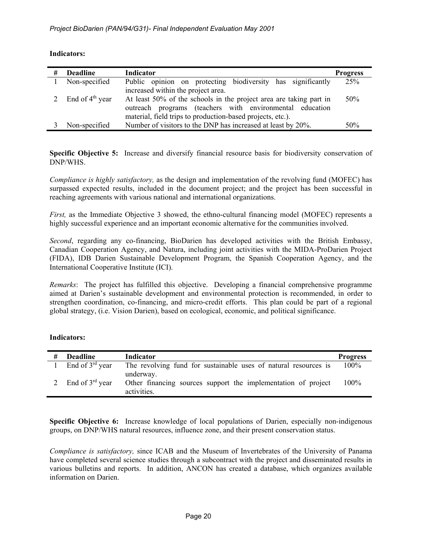| # | <b>Deadline</b>             | Indicator                                                          | <b>Progress</b> |
|---|-----------------------------|--------------------------------------------------------------------|-----------------|
|   | Non-specified               | Public opinion on protecting biodiversity has significantly        | 25%             |
|   |                             | increased within the project area.                                 |                 |
|   | End of $4^{\text{th}}$ year | At least 50% of the schools in the project area are taking part in | 50%             |
|   |                             | outreach programs (teachers with environmental education           |                 |
|   |                             | material, field trips to production-based projects, etc.).         |                 |
|   | Non-specified               | Number of visitors to the DNP has increased at least by 20%.       | 50%             |

### **Indicators:**

**Specific Objective 5:** Increase and diversify financial resource basis for biodiversity conservation of DNP/WHS.

*Compliance is highly satisfactory,* as the design and implementation of the revolving fund (MOFEC) has surpassed expected results, included in the document project; and the project has been successful in reaching agreements with various national and international organizations.

*First*, as the Immediate Objective 3 showed, the ethno-cultural financing model (MOFEC) represents a highly successful experience and an important economic alternative for the communities involved.

*Second*, regarding any co-financing, BioDarien has developed activities with the British Embassy, Canadian Cooperation Agency, and Natura, including joint activities with the MIDA-ProDarien Project (FIDA), IDB Darien Sustainable Development Program, the Spanish Cooperation Agency, and the International Cooperative Institute (ICI).

*Remarks*: The project has fulfilled this objective. Developing a financial comprehensive programme aimed at Darien's sustainable development and environmental protection is recommended, in order to strengthen coordination, co-financing, and micro-credit efforts. This plan could be part of a regional global strategy, (i.e. Vision Darien), based on ecological, economic, and political significance.

### **Indicators:**

| # | <b>Deadline</b>      | Indicator                                                                                 | <b>Progress</b> |
|---|----------------------|-------------------------------------------------------------------------------------------|-----------------|
|   | End of $3^{rd}$ year | The revolving fund for sustainable uses of natural resources is                           | 100%            |
|   | End of $3^{rd}$ year | underway.<br>Other financing sources support the implementation of project<br>activities. | 100%            |

**Specific Objective 6:** Increase knowledge of local populations of Darien, especially non-indigenous groups, on DNP/WHS natural resources, influence zone, and their present conservation status.

*Compliance is satisfactory,* since ICAB and the Museum of Invertebrates of the University of Panama have completed several science studies through a subcontract with the project and disseminated results in various bulletins and reports. In addition, ANCON has created a database, which organizes available information on Darien.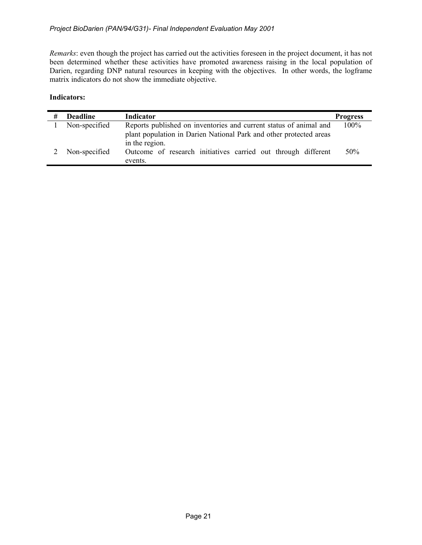*Remarks*: even though the project has carried out the activities foreseen in the project document, it has not been determined whether these activities have promoted awareness raising in the local population of Darien, regarding DNP natural resources in keeping with the objectives. In other words, the logframe matrix indicators do not show the immediate objective.

### **Indicators:**

| # | <b>Deadline</b> | Indicator                                                          | <b>Progress</b> |
|---|-----------------|--------------------------------------------------------------------|-----------------|
|   | Non-specified   | Reports published on inventories and current status of animal and  | $100\%$         |
|   |                 | plant population in Darien National Park and other protected areas |                 |
|   |                 | in the region.                                                     |                 |
|   | Non-specified   | Outcome of research initiatives carried out through different      | 50%             |
|   |                 | events.                                                            |                 |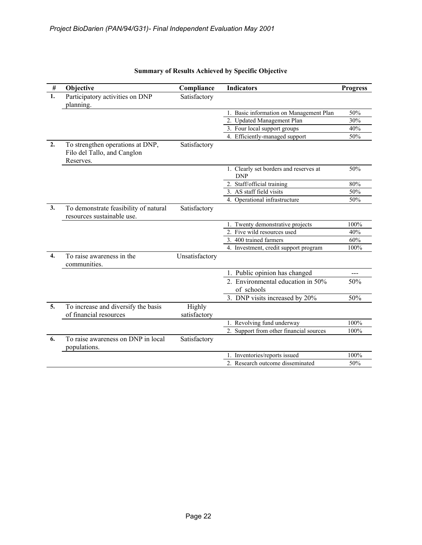| $\#$         | Objective                                                                    | Compliance             | <b>Indicators</b>                                    | <b>Progress</b> |
|--------------|------------------------------------------------------------------------------|------------------------|------------------------------------------------------|-----------------|
| 1.           | Participatory activities on DNP<br>planning.                                 | Satisfactory           |                                                      |                 |
|              |                                                                              |                        | 1. Basic information on Management Plan              | 50%             |
|              |                                                                              |                        | 2. Updated Management Plan                           | 30%             |
|              |                                                                              |                        | 3. Four local support groups                         | 40%             |
|              |                                                                              |                        | 4. Efficiently-managed support                       | 50%             |
| 2.           | To strengthen operations at DNP,<br>Filo del Tallo, and Canglon<br>Reserves. | Satisfactory           |                                                      |                 |
|              |                                                                              |                        | 1. Clearly set borders and reserves at<br><b>DNP</b> | 50%             |
|              |                                                                              |                        | 2. Staff/official training                           | 80%             |
|              |                                                                              |                        | 3. AS staff field visits                             | 50%             |
|              |                                                                              |                        | 4. Operational infrastructure                        | 50%             |
| 3.           | To demonstrate feasibility of natural<br>resources sustainable use.          | Satisfactory           |                                                      |                 |
|              |                                                                              |                        | 1. Twenty demonstrative projects                     | 100%            |
|              |                                                                              |                        | 2. Five wild resources used                          | 40%             |
|              |                                                                              |                        | 3. 400 trained farmers                               | 60%             |
|              |                                                                              |                        | 4. Investment, credit support program                | 100%            |
| $\mathbf{4}$ | To raise awareness in the<br>communities.                                    | Unsatisfactory         |                                                      |                 |
|              |                                                                              |                        | 1. Public opinion has changed                        | $---$           |
|              |                                                                              |                        | 2. Environmental education in 50%<br>of schools      | 50%             |
|              |                                                                              |                        | 3. DNP visits increased by 20%                       | 50%             |
| 5.           | To increase and diversify the basis<br>of financial resources                | Highly<br>satisfactory |                                                      |                 |
|              |                                                                              |                        | 1. Revolving fund underway                           | 100%            |
|              |                                                                              |                        | 2. Support from other financial sources              | 100%            |
| 6.           | To raise awareness on DNP in local<br>populations.                           | Satisfactory           |                                                      |                 |
|              |                                                                              |                        | 1. Inventories/reports issued                        | 100%            |
|              |                                                                              |                        | 2. Research outcome disseminated                     | 50%             |

# **Summary of Results Achieved by Specific Objective**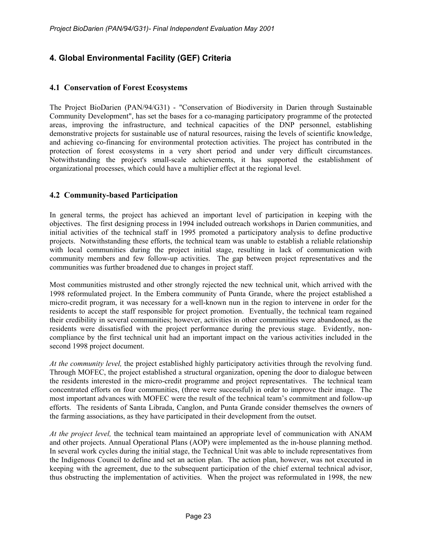# **4. Global Environmental Facility (GEF) Criteria**

# **4.1 Conservation of Forest Ecosystems**

The Project BioDarien (PAN/94/G31) - "Conservation of Biodiversity in Darien through Sustainable Community Development", has set the bases for a co-managing participatory programme of the protected areas, improving the infrastructure, and technical capacities of the DNP personnel, establishing demonstrative projects for sustainable use of natural resources, raising the levels of scientific knowledge, and achieving co-financing for environmental protection activities. The project has contributed in the protection of forest ecosystems in a very short period and under very difficult circumstances. Notwithstanding the project's small-scale achievements, it has supported the establishment of organizational processes, which could have a multiplier effect at the regional level.

# **4.2 Community-based Participation**

In general terms, the project has achieved an important level of participation in keeping with the objectives. The first designing process in 1994 included outreach workshops in Darien communities, and initial activities of the technical staff in 1995 promoted a participatory analysis to define productive projects. Notwithstanding these efforts, the technical team was unable to establish a reliable relationship with local communities during the project initial stage, resulting in lack of communication with community members and few follow-up activities. The gap between project representatives and the communities was further broadened due to changes in project staff.

Most communities mistrusted and other strongly rejected the new technical unit, which arrived with the 1998 reformulated project. In the Embera community of Punta Grande, where the project established a micro-credit program, it was necessary for a well-known nun in the region to intervene in order for the residents to accept the staff responsible for project promotion. Eventually, the technical team regained their credibility in several communities; however, activities in other communities were abandoned, as the residents were dissatisfied with the project performance during the previous stage. Evidently, noncompliance by the first technical unit had an important impact on the various activities included in the second 1998 project document.

*At the community level,* the project established highly participatory activities through the revolving fund. Through MOFEC, the project established a structural organization, opening the door to dialogue between the residents interested in the micro-credit programme and project representatives. The technical team concentrated efforts on four communities, (three were successful) in order to improve their image. The most important advances with MOFEC were the result of the technical team's commitment and follow-up efforts. The residents of Santa Librada, Canglon, and Punta Grande consider themselves the owners of the farming associations, as they have participated in their development from the outset.

*At the project level,* the technical team maintained an appropriate level of communication with ANAM and other projects. Annual Operational Plans (AOP) were implemented as the in-house planning method. In several work cycles during the initial stage, the Technical Unit was able to include representatives from the Indigenous Council to define and set an action plan. The action plan, however, was not executed in keeping with the agreement, due to the subsequent participation of the chief external technical advisor, thus obstructing the implementation of activities. When the project was reformulated in 1998, the new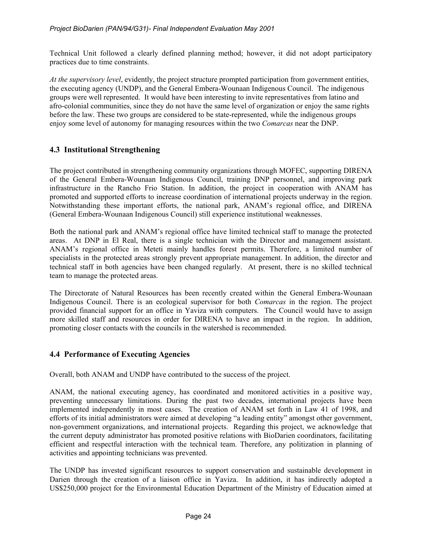Technical Unit followed a clearly defined planning method; however, it did not adopt participatory practices due to time constraints.

*At the supervisory level*, evidently, the project structure prompted participation from government entities, the executing agency (UNDP), and the General Embera-Wounaan Indigenous Council. The indigenous groups were well represented. It would have been interesting to invite representatives from latino and afro-colonial communities, since they do not have the same level of organization or enjoy the same rights before the law. These two groups are considered to be state-represented, while the indigenous groups enjoy some level of autonomy for managing resources within the two *Comarcas* near the DNP.

# **4.3 Institutional Strengthening**

The project contributed in strengthening community organizations through MOFEC, supporting DIRENA of the General Embera-Wounaan Indigenous Council, training DNP personnel, and improving park infrastructure in the Rancho Frio Station. In addition, the project in cooperation with ANAM has promoted and supported efforts to increase coordination of international projects underway in the region. Notwithstanding these important efforts, the national park, ANAM's regional office, and DIRENA (General Embera-Wounaan Indigenous Council) still experience institutional weaknesses.

Both the national park and ANAM's regional office have limited technical staff to manage the protected areas. At DNP in El Real, there is a single technician with the Director and management assistant. ANAM's regional office in Meteti mainly handles forest permits. Therefore, a limited number of specialists in the protected areas strongly prevent appropriate management. In addition, the director and technical staff in both agencies have been changed regularly. At present, there is no skilled technical team to manage the protected areas.

The Directorate of Natural Resources has been recently created within the General Embera-Wounaan Indigenous Council. There is an ecological supervisor for both *Comarcas* in the region. The project provided financial support for an office in Yaviza with computers. The Council would have to assign more skilled staff and resources in order for DIRENA to have an impact in the region. In addition, promoting closer contacts with the councils in the watershed is recommended.

# **4.4 Performance of Executing Agencies**

Overall, both ANAM and UNDP have contributed to the success of the project.

ANAM, the national executing agency, has coordinated and monitored activities in a positive way, preventing unnecessary limitations. During the past two decades, international projects have been implemented independently in most cases. The creation of ANAM set forth in Law 41 of 1998, and efforts of its initial administrators were aimed at developing "a leading entity" amongst other government, non-government organizations, and international projects. Regarding this project, we acknowledge that the current deputy administrator has promoted positive relations with BioDarien coordinators, facilitating efficient and respectful interaction with the technical team. Therefore, any politization in planning of activities and appointing technicians was prevented.

The UNDP has invested significant resources to support conservation and sustainable development in Darien through the creation of a liaison office in Yaviza. In addition, it has indirectly adopted a US\$250,000 project for the Environmental Education Department of the Ministry of Education aimed at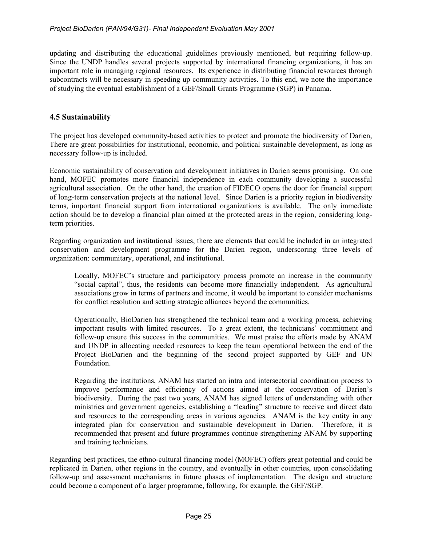updating and distributing the educational guidelines previously mentioned, but requiring follow-up. Since the UNDP handles several projects supported by international financing organizations, it has an important role in managing regional resources. Its experience in distributing financial resources through subcontracts will be necessary in speeding up community activities. To this end, we note the importance of studying the eventual establishment of a GEF/Small Grants Programme (SGP) in Panama.

# **4.5 Sustainability**

The project has developed community-based activities to protect and promote the biodiversity of Darien, There are great possibilities for institutional, economic, and political sustainable development, as long as necessary follow-up is included.

Economic sustainability of conservation and development initiatives in Darien seems promising. On one hand, MOFEC promotes more financial independence in each community developing a successful agricultural association. On the other hand, the creation of FIDECO opens the door for financial support of long-term conservation projects at the national level. Since Darien is a priority region in biodiversity terms, important financial support from international organizations is available. The only immediate action should be to develop a financial plan aimed at the protected areas in the region, considering longterm priorities.

Regarding organization and institutional issues, there are elements that could be included in an integrated conservation and development programme for the Darien region, underscoring three levels of organization: communitary, operational, and institutional.

Locally, MOFEC's structure and participatory process promote an increase in the community "social capital", thus, the residents can become more financially independent. As agricultural associations grow in terms of partners and income, it would be important to consider mechanisms for conflict resolution and setting strategic alliances beyond the communities.

Operationally, BioDarien has strengthened the technical team and a working process, achieving important results with limited resources. To a great extent, the technicians' commitment and follow-up ensure this success in the communities. We must praise the efforts made by ANAM and UNDP in allocating needed resources to keep the team operational between the end of the Project BioDarien and the beginning of the second project supported by GEF and UN Foundation.

Regarding the institutions, ANAM has started an intra and intersectorial coordination process to improve performance and efficiency of actions aimed at the conservation of Darien's biodiversity. During the past two years, ANAM has signed letters of understanding with other ministries and government agencies, establishing a "leading" structure to receive and direct data and resources to the corresponding areas in various agencies. ANAM is the key entity in any integrated plan for conservation and sustainable development in Darien. Therefore, it is recommended that present and future programmes continue strengthening ANAM by supporting and training technicians.

Regarding best practices, the ethno-cultural financing model (MOFEC) offers great potential and could be replicated in Darien, other regions in the country, and eventually in other countries, upon consolidating follow-up and assessment mechanisms in future phases of implementation. The design and structure could become a component of a larger programme, following, for example, the GEF/SGP.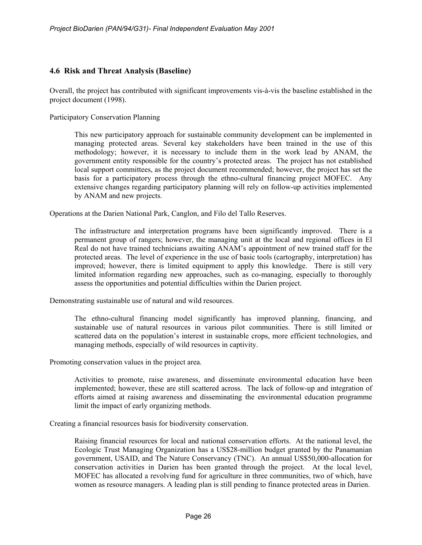# **4.6 Risk and Threat Analysis (Baseline)**

Overall, the project has contributed with significant improvements vis-à-vis the baseline established in the project document (1998).

Participatory Conservation Planning

This new participatory approach for sustainable community development can be implemented in managing protected areas. Several key stakeholders have been trained in the use of this methodology; however, it is necessary to include them in the work lead by ANAM, the government entity responsible for the country's protected areas. The project has not established local support committees, as the project document recommended; however, the project has set the basis for a participatory process through the ethno-cultural financing project MOFEC. Any extensive changes regarding participatory planning will rely on follow-up activities implemented by ANAM and new projects.

Operations at the Darien National Park, Canglon, and Filo del Tallo Reserves.

The infrastructure and interpretation programs have been significantly improved. There is a permanent group of rangers; however, the managing unit at the local and regional offices in El Real do not have trained technicians awaiting ANAM's appointment of new trained staff for the protected areas. The level of experience in the use of basic tools (cartography, interpretation) has improved; however, there is limited equipment to apply this knowledge. There is still very limited information regarding new approaches, such as co-managing, especially to thoroughly assess the opportunities and potential difficulties within the Darien project.

Demonstrating sustainable use of natural and wild resources.

The ethno-cultural financing model significantly has improved planning, financing, and sustainable use of natural resources in various pilot communities. There is still limited or scattered data on the population's interest in sustainable crops, more efficient technologies, and managing methods, especially of wild resources in captivity.

Promoting conservation values in the project area.

Activities to promote, raise awareness, and disseminate environmental education have been implemented; however, these are still scattered across. The lack of follow-up and integration of efforts aimed at raising awareness and disseminating the environmental education programme limit the impact of early organizing methods.

Creating a financial resources basis for biodiversity conservation.

Raising financial resources for local and national conservation efforts. At the national level, the Ecologic Trust Managing Organization has a US\$28-million budget granted by the Panamanian government, USAID, and The Nature Conservancy (TNC). An annual US\$50,000-allocation for conservation activities in Darien has been granted through the project. At the local level, MOFEC has allocated a revolving fund for agriculture in three communities, two of which, have women as resource managers. A leading plan is still pending to finance protected areas in Darien.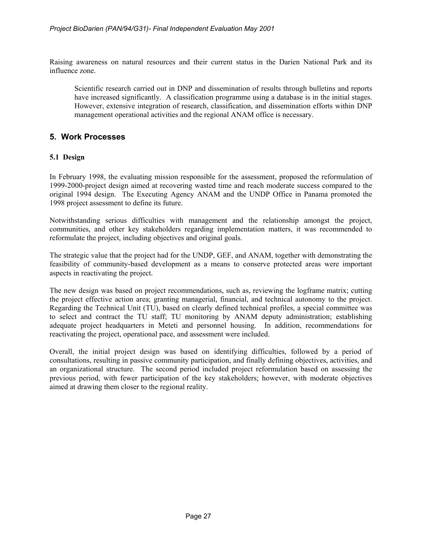Raising awareness on natural resources and their current status in the Darien National Park and its influence zone.

Scientific research carried out in DNP and dissemination of results through bulletins and reports have increased significantly. A classification programme using a database is in the initial stages. However, extensive integration of research, classification, and dissemination efforts within DNP management operational activities and the regional ANAM office is necessary.

# **5. Work Processes**

### **5.1 Design**

In February 1998, the evaluating mission responsible for the assessment, proposed the reformulation of 1999-2000-project design aimed at recovering wasted time and reach moderate success compared to the original 1994 design. The Executing Agency ANAM and the UNDP Office in Panama promoted the 1998 project assessment to define its future.

Notwithstanding serious difficulties with management and the relationship amongst the project, communities, and other key stakeholders regarding implementation matters, it was recommended to reformulate the project, including objectives and original goals.

The strategic value that the project had for the UNDP, GEF, and ANAM, together with demonstrating the feasibility of community-based development as a means to conserve protected areas were important aspects in reactivating the project.

The new design was based on project recommendations, such as, reviewing the logframe matrix; cutting the project effective action area; granting managerial, financial, and technical autonomy to the project. Regarding the Technical Unit (TU), based on clearly defined technical profiles, a special committee was to select and contract the TU staff; TU monitoring by ANAM deputy administration; establishing adequate project headquarters in Meteti and personnel housing. In addition, recommendations for reactivating the project, operational pace, and assessment were included.

Overall, the initial project design was based on identifying difficulties, followed by a period of consultations, resulting in passive community participation, and finally defining objectives, activities, and an organizational structure. The second period included project reformulation based on assessing the previous period, with fewer participation of the key stakeholders; however, with moderate objectives aimed at drawing them closer to the regional reality.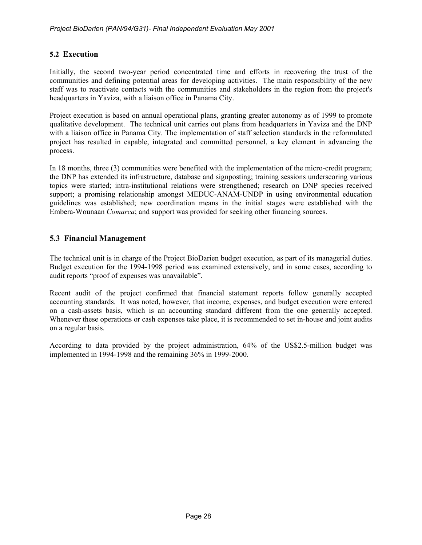# **5.2 Execution**

Initially, the second two-year period concentrated time and efforts in recovering the trust of the communities and defining potential areas for developing activities. The main responsibility of the new staff was to reactivate contacts with the communities and stakeholders in the region from the project's headquarters in Yaviza, with a liaison office in Panama City.

Project execution is based on annual operational plans, granting greater autonomy as of 1999 to promote qualitative development. The technical unit carries out plans from headquarters in Yaviza and the DNP with a liaison office in Panama City. The implementation of staff selection standards in the reformulated project has resulted in capable, integrated and committed personnel, a key element in advancing the process.

In 18 months, three (3) communities were benefited with the implementation of the micro-credit program; the DNP has extended its infrastructure, database and signposting; training sessions underscoring various topics were started; intra-institutional relations were strengthened; research on DNP species received support; a promising relationship amongst MEDUC-ANAM-UNDP in using environmental education guidelines was established; new coordination means in the initial stages were established with the Embera-Wounaan *Comarca*; and support was provided for seeking other financing sources.

# **5.3 Financial Management**

The technical unit is in charge of the Project BioDarien budget execution, as part of its managerial duties. Budget execution for the 1994-1998 period was examined extensively, and in some cases, according to audit reports "proof of expenses was unavailable".

Recent audit of the project confirmed that financial statement reports follow generally accepted accounting standards. It was noted, however, that income, expenses, and budget execution were entered on a cash-assets basis, which is an accounting standard different from the one generally accepted. Whenever these operations or cash expenses take place, it is recommended to set in-house and joint audits on a regular basis.

According to data provided by the project administration, 64% of the US\$2.5-million budget was implemented in 1994-1998 and the remaining 36% in 1999-2000.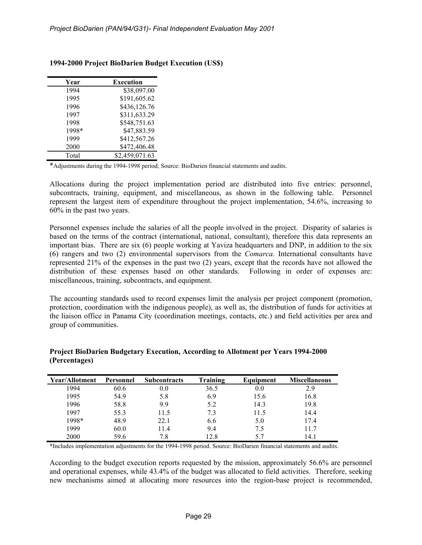| Execution      |
|----------------|
| \$38,097.00    |
| \$191,605.62   |
| \$436,126.76   |
| \$311,633.29   |
| \$548,751.63   |
| \$47,883.59    |
| \$412,567.26   |
| \$472,406.48   |
| \$2,459,071.63 |
|                |

# **1994-2000 Project BioDarien Budget Execution (US\$)**

\*Adjustments during the 1994-1998 period; Source: BioDarien financial statements and audits.

Allocations during the project implementation period are distributed into five entries: personnel, subcontracts, training, equipment, and miscellaneous, as shown in the following table. Personnel represent the largest item of expenditure throughout the project implementation, 54.6%, increasing to 60% in the past two years.

Personnel expenses include the salaries of all the people involved in the project. Disparity of salaries is based on the terms of the contract (international, national, consultant), therefore this data represents an important bias. There are six (6) people working at Yaviza headquarters and DNP, in addition to the six (6) rangers and two (2) environmental supervisors from the *Comarca*. International consultants have represented 21% of the expenses in the past two (2) years, except that the records have not allowed the distribution of these expenses based on other standards. Following in order of expenses are: miscellaneous, training, subcontracts, and equipment.

The accounting standards used to record expenses limit the analysis per project component (promotion, protection, coordination with the indigenous people), as well as, the distribution of funds for activities at the liaison office in Panama City (coordination meetings, contacts, etc.) and field activities per area and group of communities.

| Year/Allotment | Personnel | <b>Subcontracts</b> | Training | Equipment | <b>Miscellaneous</b> |
|----------------|-----------|---------------------|----------|-----------|----------------------|
| 994            | 60.6      | 0.0                 | 36.5     | 0.0       | 2.9                  |
| 1995           | 54.9      | 5.8                 | 6.9      | 15.6      | 16.8                 |
| 1996           | 58.8      | 9.9                 | 5.2      | 14.3      | 19.8                 |
| 1997           | 55.3      | 11.5                | 7.3      | 11.5      | 14.4                 |
| 1998*          | 48.9      | 22.1                | 6.6      | 5.0       | 17.4                 |
| 1999           | 60.0      | 11.4                | 9.4      | 7.5       | 11.7                 |
| 2000           | 59.6      | 7.8                 | 12.8     | 5.7       | 14.1                 |

### **Project BioDarien Budgetary Execution, According to Allotment per Years 1994-2000 (Percentages)**

\*Includes implementation adjustments for the 1994-1998 period. Source: BioDarien financial statements and audits.

According to the budget execution reports requested by the mission, approximately 56.6% are personnel and operational expenses, while 43.4% of the budget was allocated to field activities. Therefore, seeking new mechanisms aimed at allocating more resources into the region-base project is recommended,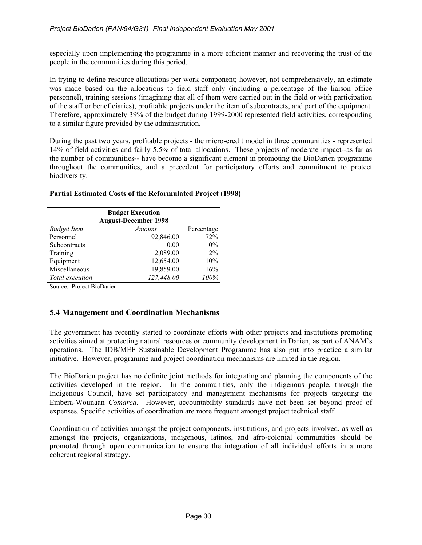especially upon implementing the programme in a more efficient manner and recovering the trust of the people in the communities during this period.

In trying to define resource allocations per work component; however, not comprehensively, an estimate was made based on the allocations to field staff only (including a percentage of the liaison office personnel), training sessions (imagining that all of them were carried out in the field or with participation of the staff or beneficiaries), profitable projects under the item of subcontracts, and part of the equipment. Therefore, approximately 39% of the budget during 1999-2000 represented field activities, corresponding to a similar figure provided by the administration.

During the past two years, profitable projects - the micro-credit model in three communities - represented 14% of field activities and fairly 5.5% of total allocations. These projects of moderate impact--as far as the number of communities-- have become a significant element in promoting the BioDarien programme throughout the communities, and a precedent for participatory efforts and commitment to protect biodiversity.

# **Partial Estimated Costs of the Reformulated Project (1998)**

| <b>Budget Execution</b><br><b>August-December 1998</b> |            |            |  |
|--------------------------------------------------------|------------|------------|--|
| <b>Budget Item</b>                                     | Amount     | Percentage |  |
| Personnel                                              | 92,846.00  | 72%        |  |
| Subcontracts                                           | 0.00       | $0\%$      |  |
| Training                                               | 2,089.00   | 2%         |  |
| Equipment                                              | 12,654.00  | 10%        |  |
| Miscellaneous                                          | 19,859.00  | 16%        |  |
| Total execution                                        | 127,448.00 | 100%       |  |

Source: Project BioDarien

# **5.4 Management and Coordination Mechanisms**

The government has recently started to coordinate efforts with other projects and institutions promoting activities aimed at protecting natural resources or community development in Darien, as part of ANAM's operations. The IDB/MEF Sustainable Development Programme has also put into practice a similar initiative. However, programme and project coordination mechanisms are limited in the region.

The BioDarien project has no definite joint methods for integrating and planning the components of the activities developed in the region. In the communities, only the indigenous people, through the Indigenous Council, have set participatory and management mechanisms for projects targeting the Embera-Wounaan *Comarca*. However, accountability standards have not been set beyond proof of expenses. Specific activities of coordination are more frequent amongst project technical staff.

Coordination of activities amongst the project components, institutions, and projects involved, as well as amongst the projects, organizations, indigenous, latinos, and afro-colonial communities should be promoted through open communication to ensure the integration of all individual efforts in a more coherent regional strategy.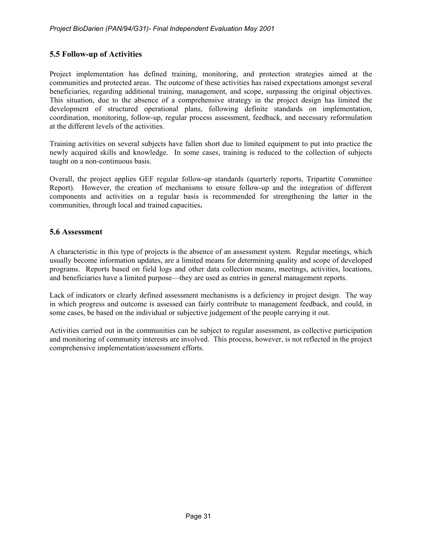# **5.5 Follow-up of Activities**

Project implementation has defined training, monitoring, and protection strategies aimed at the communities and protected areas. The outcome of these activities has raised expectations amongst several beneficiaries, regarding additional training, management, and scope, surpassing the original objectives. This situation, due to the absence of a comprehensive strategy in the project design has limited the development of structured operational plans, following definite standards on implementation, coordination, monitoring, follow-up, regular process assessment, feedback, and necessary reformulation at the different levels of the activities.

Training activities on several subjects have fallen short due to limited equipment to put into practice the newly acquired skills and knowledge. In some cases, training is reduced to the collection of subjects taught on a non-continuous basis.

Overall, the project applies GEF regular follow-up standards (quarterly reports, Tripartite Committee Report). However, the creation of mechanisms to ensure follow-up and the integration of different components and activities on a regular basis is recommended for strengthening the latter in the communities, through local and trained capacities**.** 

### **5.6 Assessment**

A characteristic in this type of projects is the absence of an assessment system. Regular meetings, which usually become information updates, are a limited means for determining quality and scope of developed programs. Reports based on field logs and other data collection means, meetings, activities, locations, and beneficiaries have a limited purpose—they are used as entries in general management reports.

Lack of indicators or clearly defined assessment mechanisms is a deficiency in project design. The way in which progress and outcome is assessed can fairly contribute to management feedback, and could, in some cases, be based on the individual or subjective judgement of the people carrying it out.

Activities carried out in the communities can be subject to regular assessment, as collective participation and monitoring of community interests are involved. This process, however, is not reflected in the project comprehensive implementation/assessment efforts.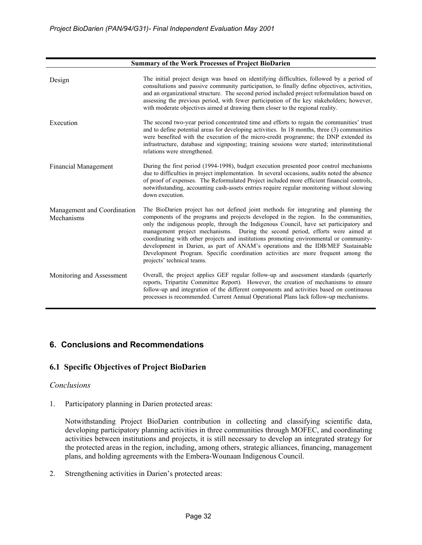| <b>Summary of the Work Processes of Project BioDarien</b> |                                                                                                                                                                                                                                                                                                                                                                                                                                                                                                                                                                                                                                                           |  |
|-----------------------------------------------------------|-----------------------------------------------------------------------------------------------------------------------------------------------------------------------------------------------------------------------------------------------------------------------------------------------------------------------------------------------------------------------------------------------------------------------------------------------------------------------------------------------------------------------------------------------------------------------------------------------------------------------------------------------------------|--|
| Design                                                    | The initial project design was based on identifying difficulties, followed by a period of<br>consultations and passive community participation, to finally define objectives, activities,<br>and an organizational structure. The second period included project reformulation based on<br>assessing the previous period, with fewer participation of the key stakeholders; however,<br>with moderate objectives aimed at drawing them closer to the regional reality.                                                                                                                                                                                    |  |
| Execution                                                 | The second two-year period concentrated time and efforts to regain the communities' trust<br>and to define potential areas for developing activities. In 18 months, three (3) communities<br>were benefited with the execution of the micro-credit programme; the DNP extended its<br>infrastructure, database and signposting; training sessions were started; interinstitutional<br>relations were strengthened.                                                                                                                                                                                                                                        |  |
| <b>Financial Management</b>                               | During the first period (1994-1998), budget execution presented poor control mechanisms<br>due to difficulties in project implementation. In several occasions, audits noted the absence<br>of proof of expenses. The Reformulated Project included more efficient financial controls,<br>notwithstanding, accounting cash-assets entries require regular monitoring without slowing<br>down execution.                                                                                                                                                                                                                                                   |  |
| Management and Coordination<br>Mechanisms                 | The BioDarien project has not defined joint methods for integrating and planning the<br>components of the programs and projects developed in the region. In the communities,<br>only the indigenous people, through the Indigenous Council, have set participatory and<br>management project mechanisms. During the second period, efforts were aimed at<br>coordinating with other projects and institutions promoting environmental or community-<br>development in Darien, as part of ANAM's operations and the IDB/MEF Sustainable<br>Development Program. Specific coordination activities are more frequent among the<br>projects' technical teams. |  |
| Monitoring and Assessment                                 | Overall, the project applies GEF regular follow-up and assessment standards (quarterly<br>reports, Tripartite Committee Report). However, the creation of mechanisms to ensure<br>follow-up and integration of the different components and activities based on continuous<br>processes is recommended. Current Annual Operational Plans lack follow-up mechanisms.                                                                                                                                                                                                                                                                                       |  |

# **6. Conclusions and Recommendations**

# **6.1 Specific Objectives of Project BioDarien**

# *Conclusions*

1. Participatory planning in Darien protected areas:

Notwithstanding Project BioDarien contribution in collecting and classifying scientific data, developing participatory planning activities in three communities through MOFEC, and coordinating activities between institutions and projects, it is still necessary to develop an integrated strategy for the protected areas in the region, including, among others, strategic alliances, financing, management plans, and holding agreements with the Embera-Wounaan Indigenous Council.

2. Strengthening activities in Darien's protected areas: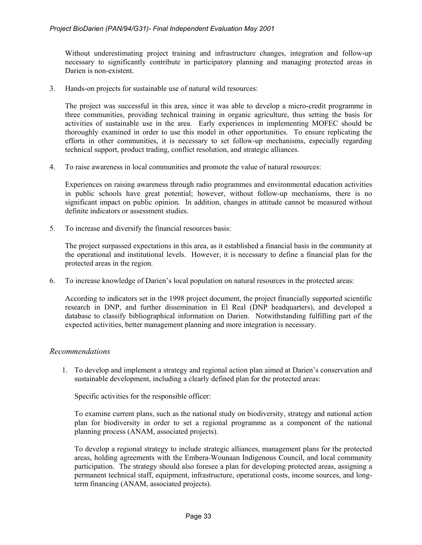Without underestimating project training and infrastructure changes, integration and follow-up necessary to significantly contribute in participatory planning and managing protected areas in Darien is non-existent.

3. Hands-on projects for sustainable use of natural wild resources:

The project was successful in this area, since it was able to develop a micro-credit programme in three communities, providing technical training in organic agriculture, thus setting the basis for activities of sustainable use in the area. Early experiences in implementing MOFEC should be thoroughly examined in order to use this model in other opportunities. To ensure replicating the efforts in other communities, it is necessary to set follow-up mechanisms, especially regarding technical support, product trading, conflict resolution, and strategic alliances.

4. To raise awareness in local communities and promote the value of natural resources:

Experiences on raising awareness through radio programmes and environmental education activities in public schools have great potential; however, without follow-up mechanisms, there is no significant impact on public opinion. In addition, changes in attitude cannot be measured without definite indicators or assessment studies.

5. To increase and diversify the financial resources basis:

The project surpassed expectations in this area, as it established a financial basis in the community at the operational and institutional levels. However, it is necessary to define a financial plan for the protected areas in the region.

6. To increase knowledge of Darien's local population on natural resources in the protected areas:

According to indicators set in the 1998 project document, the project financially supported scientific research in DNP, and further dissemination in El Real (DNP headquarters), and developed a database to classify bibliographical information on Darien. Notwithstanding fulfilling part of the expected activities, better management planning and more integration is necessary.

# *Recommendations*

1. To develop and implement a strategy and regional action plan aimed at Darien's conservation and sustainable development, including a clearly defined plan for the protected areas:

Specific activities for the responsible officer:

To examine current plans, such as the national study on biodiversity, strategy and national action plan for biodiversity in order to set a regional programme as a component of the national planning process (ANAM, associated projects).

To develop a regional strategy to include strategic alliances, management plans for the protected areas, holding agreements with the Embera-Wounaan Indigenous Council, and local community participation. The strategy should also foresee a plan for developing protected areas, assigning a permanent technical staff, equipment, infrastructure, operational costs, income sources, and longterm financing (ANAM, associated projects).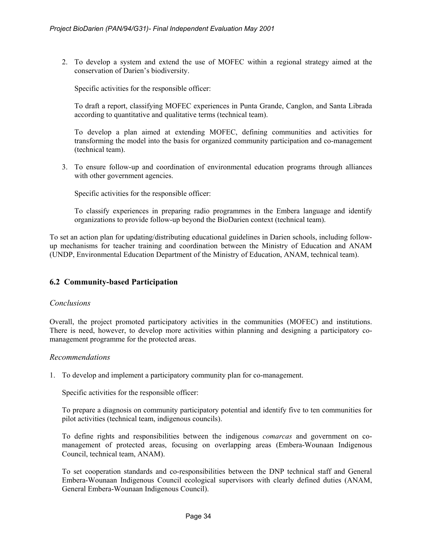2. To develop a system and extend the use of MOFEC within a regional strategy aimed at the conservation of Darien's biodiversity.

Specific activities for the responsible officer:

To draft a report, classifying MOFEC experiences in Punta Grande, Canglon, and Santa Librada according to quantitative and qualitative terms (technical team).

To develop a plan aimed at extending MOFEC, defining communities and activities for transforming the model into the basis for organized community participation and co-management (technical team).

3. To ensure follow-up and coordination of environmental education programs through alliances with other government agencies.

Specific activities for the responsible officer:

To classify experiences in preparing radio programmes in the Embera language and identify organizations to provide follow-up beyond the BioDarien context (technical team).

To set an action plan for updating/distributing educational guidelines in Darien schools, including followup mechanisms for teacher training and coordination between the Ministry of Education and ANAM (UNDP, Environmental Education Department of the Ministry of Education, ANAM, technical team).

# **6.2 Community-based Participation**

### *Conclusions*

Overall, the project promoted participatory activities in the communities (MOFEC) and institutions. There is need, however, to develop more activities within planning and designing a participatory comanagement programme for the protected areas.

### *Recommendations*

1. To develop and implement a participatory community plan for co-management.

Specific activities for the responsible officer:

To prepare a diagnosis on community participatory potential and identify five to ten communities for pilot activities (technical team, indigenous councils).

To define rights and responsibilities between the indigenous *comarcas* and government on comanagement of protected areas, focusing on overlapping areas (Embera-Wounaan Indigenous Council, technical team, ANAM).

To set cooperation standards and co-responsibilities between the DNP technical staff and General Embera-Wounaan Indigenous Council ecological supervisors with clearly defined duties (ANAM, General Embera-Wounaan Indigenous Council).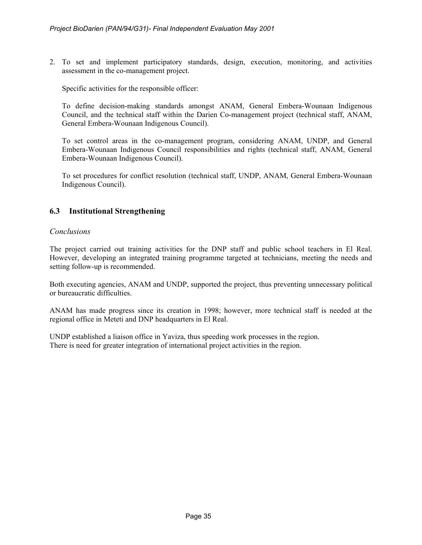2. To set and implement participatory standards, design, execution, monitoring, and activities assessment in the co-management project.

Specific activities for the responsible officer:

To define decision-making standards amongst ANAM, General Embera-Wounaan Indigenous Council, and the technical staff within the Darien Co-management project (technical staff, ANAM, General Embera-Wounaan Indigenous Council).

To set control areas in the co-management program, considering ANAM, UNDP, and General Embera-Wounaan Indigenous Council responsibilities and rights (technical staff, ANAM, General Embera-Wounaan Indigenous Council).

To set procedures for conflict resolution (technical staff, UNDP, ANAM, General Embera-Wounaan Indigenous Council).

# **6.3 Institutional Strengthening**

### *Conclusions*

The project carried out training activities for the DNP staff and public school teachers in El Real. However, developing an integrated training programme targeted at technicians, meeting the needs and setting follow-up is recommended.

Both executing agencies, ANAM and UNDP, supported the project, thus preventing unnecessary political or bureaucratic difficulties.

ANAM has made progress since its creation in 1998; however, more technical staff is needed at the regional office in Meteti and DNP headquarters in El Real.

UNDP established a liaison office in Yaviza, thus speeding work processes in the region. There is need for greater integration of international project activities in the region.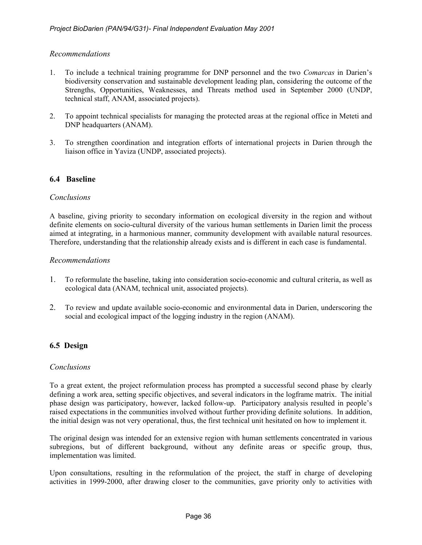# *Recommendations*

- 1. To include a technical training programme for DNP personnel and the two *Comarcas* in Darien's biodiversity conservation and sustainable development leading plan, considering the outcome of the Strengths, Opportunities, Weaknesses, and Threats method used in September 2000 (UNDP, technical staff, ANAM, associated projects).
- 2. To appoint technical specialists for managing the protected areas at the regional office in Meteti and DNP headquarters (ANAM).
- 3. To strengthen coordination and integration efforts of international projects in Darien through the liaison office in Yaviza (UNDP, associated projects).

# **6.4 Baseline**

# *Conclusions*

A baseline, giving priority to secondary information on ecological diversity in the region and without definite elements on socio-cultural diversity of the various human settlements in Darien limit the process aimed at integrating, in a harmonious manner, community development with available natural resources. Therefore, understanding that the relationship already exists and is different in each case is fundamental.

# *Recommendations*

- 1. To reformulate the baseline, taking into consideration socio-economic and cultural criteria, as well as ecological data (ANAM, technical unit, associated projects).
- 2. To review and update available socio-economic and environmental data in Darien, underscoring the social and ecological impact of the logging industry in the region (ANAM).

# **6.5 Design**

# *Conclusions*

To a great extent, the project reformulation process has prompted a successful second phase by clearly defining a work area, setting specific objectives, and several indicators in the logframe matrix. The initial phase design was participatory, however, lacked follow-up. Participatory analysis resulted in people's raised expectations in the communities involved without further providing definite solutions. In addition, the initial design was not very operational, thus, the first technical unit hesitated on how to implement it.

The original design was intended for an extensive region with human settlements concentrated in various subregions, but of different background, without any definite areas or specific group, thus, implementation was limited.

Upon consultations, resulting in the reformulation of the project, the staff in charge of developing activities in 1999-2000, after drawing closer to the communities, gave priority only to activities with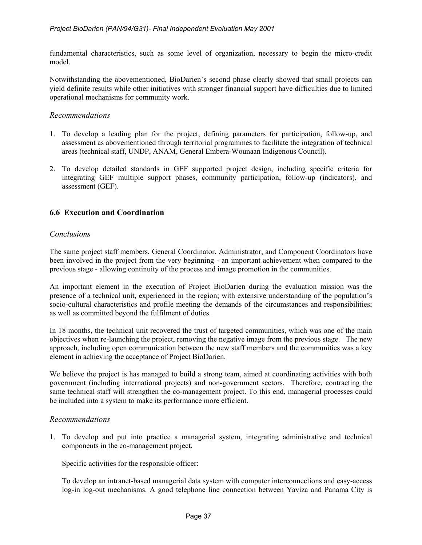fundamental characteristics, such as some level of organization, necessary to begin the micro-credit model.

Notwithstanding the abovementioned, BioDarien's second phase clearly showed that small projects can yield definite results while other initiatives with stronger financial support have difficulties due to limited operational mechanisms for community work.

# *Recommendations*

- 1. To develop a leading plan for the project, defining parameters for participation, follow-up, and assessment as abovementioned through territorial programmes to facilitate the integration of technical areas (technical staff, UNDP, ANAM, General Embera-Wounaan Indigenous Council).
- 2. To develop detailed standards in GEF supported project design, including specific criteria for integrating GEF multiple support phases, community participation, follow-up (indicators), and assessment (GEF).

# **6.6 Execution and Coordination**

### *Conclusions*

The same project staff members, General Coordinator, Administrator, and Component Coordinators have been involved in the project from the very beginning - an important achievement when compared to the previous stage - allowing continuity of the process and image promotion in the communities.

An important element in the execution of Project BioDarien during the evaluation mission was the presence of a technical unit, experienced in the region; with extensive understanding of the population's socio-cultural characteristics and profile meeting the demands of the circumstances and responsibilities; as well as committed beyond the fulfilment of duties.

In 18 months, the technical unit recovered the trust of targeted communities, which was one of the main objectives when re-launching the project, removing the negative image from the previous stage. The new approach, including open communication between the new staff members and the communities was a key element in achieving the acceptance of Project BioDarien.

We believe the project is has managed to build a strong team, aimed at coordinating activities with both government (including international projects) and non-government sectors. Therefore, contracting the same technical staff will strengthen the co-management project. To this end, managerial processes could be included into a system to make its performance more efficient.

### *Recommendations*

1. To develop and put into practice a managerial system, integrating administrative and technical components in the co-management project.

Specific activities for the responsible officer:

To develop an intranet-based managerial data system with computer interconnections and easy-access log-in log-out mechanisms. A good telephone line connection between Yaviza and Panama City is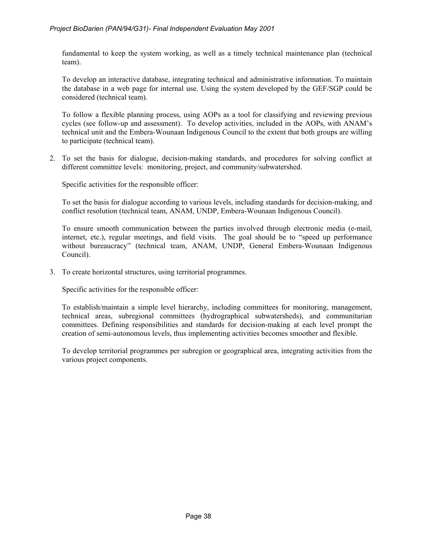fundamental to keep the system working, as well as a timely technical maintenance plan (technical team).

To develop an interactive database, integrating technical and administrative information. To maintain the database in a web page for internal use. Using the system developed by the GEF/SGP could be considered (technical team).

To follow a flexible planning process, using AOPs as a tool for classifying and reviewing previous cycles (see follow-up and assessment). To develop activities, included in the AOPs, with ANAM's technical unit and the Embera-Wounaan Indigenous Council to the extent that both groups are willing to participate (technical team).

2. To set the basis for dialogue, decision-making standards, and procedures for solving conflict at different committee levels: monitoring, project, and community/subwatershed.

Specific activities for the responsible officer:

To set the basis for dialogue according to various levels, including standards for decision-making, and conflict resolution (technical team, ANAM, UNDP, Embera-Wounaan Indigenous Council).

To ensure smooth communication between the parties involved through electronic media (e-mail, internet, etc.), regular meetings, and field visits. The goal should be to "speed up performance without bureaucracy" (technical team, ANAM, UNDP, General Embera-Wounaan Indigenous Council).

3. To create horizontal structures, using territorial programmes.

Specific activities for the responsible officer:

To establish/maintain a simple level hierarchy, including committees for monitoring, management, technical areas, subregional committees (hydrographical subwatersheds), and communitarian committees. Defining responsibilities and standards for decision-making at each level prompt the creation of semi-autonomous levels, thus implementing activities becomes smoother and flexible.

To develop territorial programmes per subregion or geographical area, integrating activities from the various project components.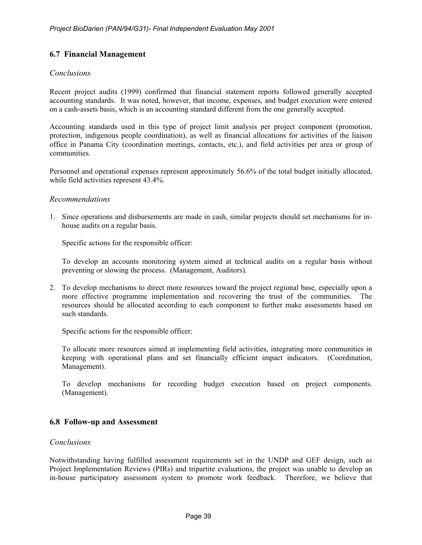# **6.7 Financial Management**

### *Conclusions*

Recent project audits (1999) confirmed that financial statement reports followed generally accepted accounting standards. It was noted, however, that income, expenses, and budget execution were entered on a cash-assets basis, which is an accounting standard different from the one generally accepted.

Accounting standards used in this type of project limit analysis per project component (promotion, protection, indigenous people coordination), as well as financial allocations for activities of the liaison office in Panama City (coordination meetings, contacts, etc.), and field activities per area or group of communities.

Personnel and operational expenses represent approximately 56.6% of the total budget initially allocated, while field activities represent 43.4%.

### *Recommendations*

1. Since operations and disbursements are made in cash, similar projects should set mechanisms for inhouse audits on a regular basis.

Specific actions for the responsible officer:

To develop an accounts monitoring system aimed at technical audits on a regular basis without preventing or slowing the process. (Management, Auditors).

2. To develop mechanisms to direct more resources toward the project regional base, especially upon a more effective programme implementation and recovering the trust of the communities. The resources should be allocated according to each component to further make assessments based on such standards.

Specific actions for the responsible officer:

To allocate more resources aimed at implementing field activities, integrating more communities in keeping with operational plans and set financially efficient impact indicators. (Coordination, Management).

To develop mechanisms for recording budget execution based on project components. (Management).

# **6.8 Follow-up and Assessment**

### *Conclusions*

Notwithstanding having fulfilled assessment requirements set in the UNDP and GEF design, such as Project Implementation Reviews (PIRs) and tripartite evaluations, the project was unable to develop an in-house participatory assessment system to promote work feedback. Therefore, we believe that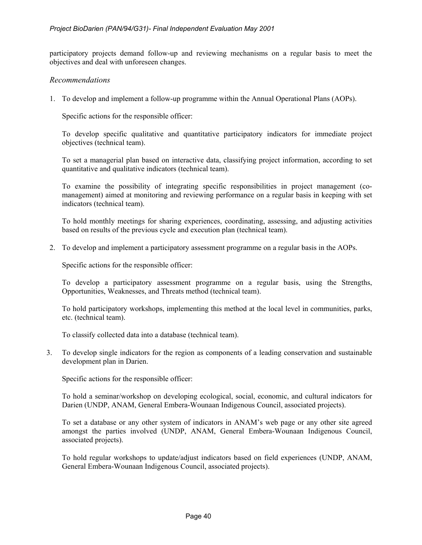participatory projects demand follow-up and reviewing mechanisms on a regular basis to meet the objectives and deal with unforeseen changes.

### *Recommendations*

1. To develop and implement a follow-up programme within the Annual Operational Plans (AOPs).

Specific actions for the responsible officer:

To develop specific qualitative and quantitative participatory indicators for immediate project objectives (technical team).

To set a managerial plan based on interactive data, classifying project information, according to set quantitative and qualitative indicators (technical team).

To examine the possibility of integrating specific responsibilities in project management (comanagement) aimed at monitoring and reviewing performance on a regular basis in keeping with set indicators (technical team).

To hold monthly meetings for sharing experiences, coordinating, assessing, and adjusting activities based on results of the previous cycle and execution plan (technical team).

2. To develop and implement a participatory assessment programme on a regular basis in the AOPs.

Specific actions for the responsible officer:

To develop a participatory assessment programme on a regular basis, using the Strengths, Opportunities, Weaknesses, and Threats method (technical team).

To hold participatory workshops, implementing this method at the local level in communities, parks, etc. (technical team).

To classify collected data into a database (technical team).

3. To develop single indicators for the region as components of a leading conservation and sustainable development plan in Darien.

Specific actions for the responsible officer:

To hold a seminar/workshop on developing ecological, social, economic, and cultural indicators for Darien (UNDP, ANAM, General Embera-Wounaan Indigenous Council, associated projects).

To set a database or any other system of indicators in ANAM's web page or any other site agreed amongst the parties involved (UNDP, ANAM, General Embera-Wounaan Indigenous Council, associated projects).

To hold regular workshops to update/adjust indicators based on field experiences (UNDP, ANAM, General Embera-Wounaan Indigenous Council, associated projects).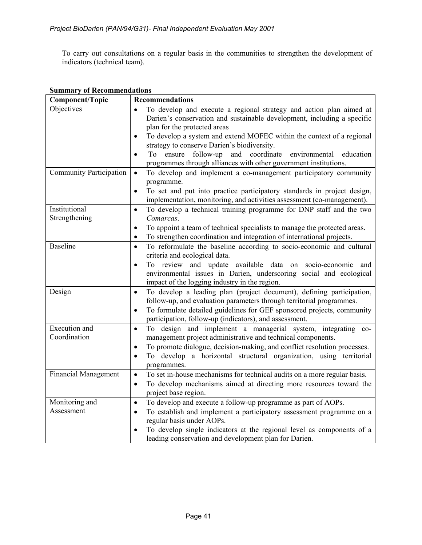To carry out consultations on a regular basis in the communities to strengthen the development of indicators (technical team).

| <b>Component/Topic</b>         | <b>Recommendations</b>                                                                                                                                                                                                                                                                                                                                                                                                                      |  |
|--------------------------------|---------------------------------------------------------------------------------------------------------------------------------------------------------------------------------------------------------------------------------------------------------------------------------------------------------------------------------------------------------------------------------------------------------------------------------------------|--|
| Objectives                     | To develop and execute a regional strategy and action plan aimed at<br>Darien's conservation and sustainable development, including a specific<br>plan for the protected areas<br>To develop a system and extend MOFEC within the context of a regional<br>strategy to conserve Darien's biodiversity.<br>To ensure follow-up and coordinate<br>environmental education<br>programmes through alliances with other government institutions. |  |
| <b>Community Participation</b> | To develop and implement a co-management participatory community<br>$\bullet$<br>programme.<br>To set and put into practice participatory standards in project design,<br>$\bullet$<br>implementation, monitoring, and activities assessment (co-management).                                                                                                                                                                               |  |
| Institutional<br>Strengthening | To develop a technical training programme for DNP staff and the two<br>$\bullet$<br>Comarcas.<br>To appoint a team of technical specialists to manage the protected areas.<br>$\bullet$<br>To strengthen coordination and integration of international projects.<br>$\bullet$                                                                                                                                                               |  |
| <b>Baseline</b>                | To reformulate the baseline according to socio-economic and cultural<br>$\bullet$<br>criteria and ecological data.<br>To review and update available data on socio-economic and<br>$\bullet$<br>environmental issues in Darien, underscoring social and ecological<br>impact of the logging industry in the region.                                                                                                                         |  |
| Design                         | To develop a leading plan (project document), defining participation,<br>$\bullet$<br>follow-up, and evaluation parameters through territorial programmes.<br>To formulate detailed guidelines for GEF sponsored projects, community<br>$\bullet$<br>participation, follow-up (indicators), and assessment.                                                                                                                                 |  |
| Execution and<br>Coordination  | To design and implement a managerial system, integrating co-<br>$\bullet$<br>management project administrative and technical components.<br>To promote dialogue, decision-making, and conflict resolution processes.<br>$\bullet$<br>To develop a horizontal structural organization, using territorial<br>$\bullet$<br>programmes.                                                                                                         |  |
| <b>Financial Management</b>    | To set in-house mechanisms for technical audits on a more regular basis.<br>$\bullet$<br>To develop mechanisms aimed at directing more resources toward the<br>$\bullet$<br>project base region.                                                                                                                                                                                                                                            |  |
| Monitoring and<br>Assessment   | To develop and execute a follow-up programme as part of AOPs.<br>$\bullet$<br>To establish and implement a participatory assessment programme on a<br>$\bullet$<br>regular basis under AOPs.<br>To develop single indicators at the regional level as components of a<br>leading conservation and development plan for Darien.                                                                                                              |  |

# **Summary of Recommendations**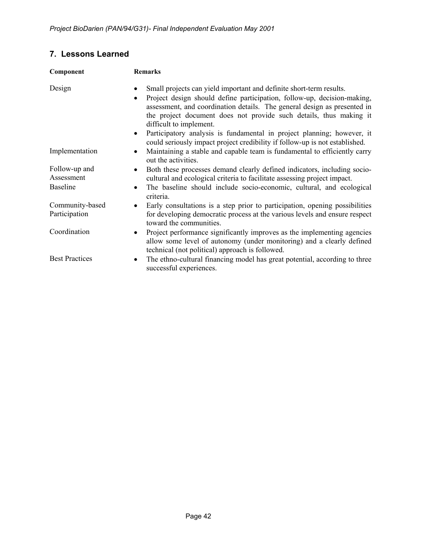# **7. Lessons Learned**

| Component                   | <b>Remarks</b>                                                                                                                                                                                                                                                                                                                                                                                                                  |  |
|-----------------------------|---------------------------------------------------------------------------------------------------------------------------------------------------------------------------------------------------------------------------------------------------------------------------------------------------------------------------------------------------------------------------------------------------------------------------------|--|
| Design                      | Small projects can yield important and definite short-term results.<br>Project design should define participation, follow-up, decision-making,<br>$\bullet$<br>assessment, and coordination details. The general design as presented in<br>the project document does not provide such details, thus making it<br>difficult to implement.<br>Participatory analysis is fundamental in project planning; however, it<br>$\bullet$ |  |
|                             | could seriously impact project credibility if follow-up is not established.                                                                                                                                                                                                                                                                                                                                                     |  |
| Implementation              | Maintaining a stable and capable team is fundamental to efficiently carry<br>$\bullet$<br>out the activities.                                                                                                                                                                                                                                                                                                                   |  |
| Follow-up and<br>Assessment | Both these processes demand clearly defined indicators, including socio-<br>cultural and ecological criteria to facilitate assessing project impact.                                                                                                                                                                                                                                                                            |  |
| <b>Baseline</b>             | The baseline should include socio-economic, cultural, and ecological<br>$\bullet$<br>criteria.                                                                                                                                                                                                                                                                                                                                  |  |
| Community-based             | Early consultations is a step prior to participation, opening possibilities<br>$\bullet$                                                                                                                                                                                                                                                                                                                                        |  |
| Participation               | for developing democratic process at the various levels and ensure respect<br>toward the communities.                                                                                                                                                                                                                                                                                                                           |  |
| Coordination                | Project performance significantly improves as the implementing agencies<br>$\bullet$<br>allow some level of autonomy (under monitoring) and a clearly defined<br>technical (not political) approach is followed.                                                                                                                                                                                                                |  |
| <b>Best Practices</b>       | The ethno-cultural financing model has great potential, according to three<br>٠<br>successful experiences.                                                                                                                                                                                                                                                                                                                      |  |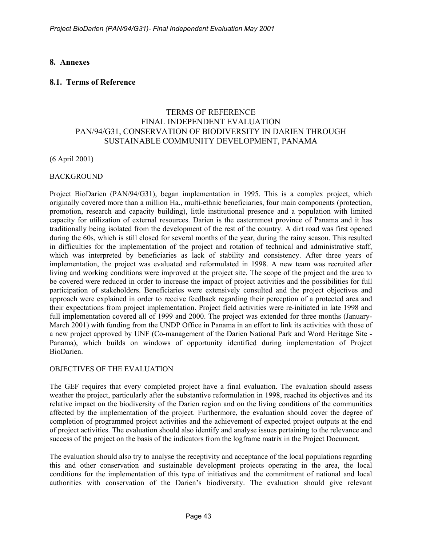# **8. Annexes**

# **8.1. Terms of Reference**

# TERMS OF REFERENCE FINAL INDEPENDENT EVALUATION PAN/94/G31, CONSERVATION OF BIODIVERSITY IN DARIEN THROUGH SUSTAINABLE COMMUNITY DEVELOPMENT, PANAMA

(6 April 2001)

### BACKGROUND

Project BioDarien (PAN/94/G31), began implementation in 1995. This is a complex project, which originally covered more than a million Ha., multi-ethnic beneficiaries, four main components (protection, promotion, research and capacity building), little institutional presence and a population with limited capacity for utilization of external resources. Darien is the easternmost province of Panama and it has traditionally being isolated from the development of the rest of the country. A dirt road was first opened during the 60s, which is still closed for several months of the year, during the rainy season. This resulted in difficulties for the implementation of the project and rotation of technical and administrative staff, which was interpreted by beneficiaries as lack of stability and consistency. After three years of implementation, the project was evaluated and reformulated in 1998. A new team was recruited after living and working conditions were improved at the project site. The scope of the project and the area to be covered were reduced in order to increase the impact of project activities and the possibilities for full participation of stakeholders. Beneficiaries were extensively consulted and the project objectives and approach were explained in order to receive feedback regarding their perception of a protected area and their expectations from project implementation. Project field activities were re-initiated in late 1998 and full implementation covered all of 1999 and 2000. The project was extended for three months (January-March 2001) with funding from the UNDP Office in Panama in an effort to link its activities with those of a new project approved by UNF (Co-management of the Darien National Park and Word Heritage Site - Panama), which builds on windows of opportunity identified during implementation of Project BioDarien.

# OBJECTIVES OF THE EVALUATION

The GEF requires that every completed project have a final evaluation. The evaluation should assess weather the project, particularly after the substantive reformulation in 1998, reached its objectives and its relative impact on the biodiversity of the Darien region and on the living conditions of the communities affected by the implementation of the project. Furthermore, the evaluation should cover the degree of completion of programmed project activities and the achievement of expected project outputs at the end of project activities. The evaluation should also identify and analyse issues pertaining to the relevance and success of the project on the basis of the indicators from the logframe matrix in the Project Document.

The evaluation should also try to analyse the receptivity and acceptance of the local populations regarding this and other conservation and sustainable development projects operating in the area, the local conditions for the implementation of this type of initiatives and the commitment of national and local authorities with conservation of the Darien's biodiversity. The evaluation should give relevant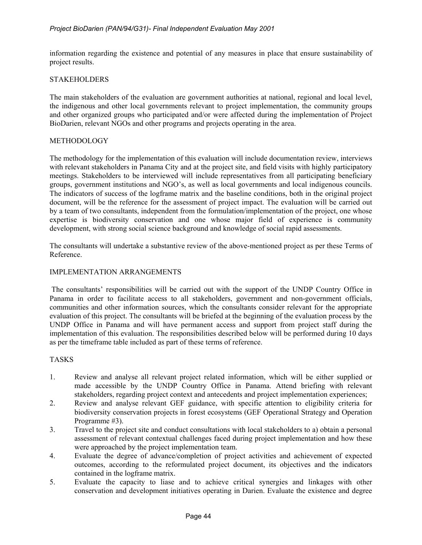information regarding the existence and potential of any measures in place that ensure sustainability of project results.

### STAKEHOLDERS

The main stakeholders of the evaluation are government authorities at national, regional and local level, the indigenous and other local governments relevant to project implementation, the community groups and other organized groups who participated and/or were affected during the implementation of Project BioDarien, relevant NGOs and other programs and projects operating in the area.

#### METHODOLOGY

The methodology for the implementation of this evaluation will include documentation review, interviews with relevant stakeholders in Panama City and at the project site, and field visits with highly participatory meetings. Stakeholders to be interviewed will include representatives from all participating beneficiary groups, government institutions and NGO's, as well as local governments and local indigenous councils. The indicators of success of the logframe matrix and the baseline conditions, both in the original project document, will be the reference for the assessment of project impact. The evaluation will be carried out by a team of two consultants, independent from the formulation/implementation of the project, one whose expertise is biodiversity conservation and one whose major field of experience is community development, with strong social science background and knowledge of social rapid assessments.

The consultants will undertake a substantive review of the above-mentioned project as per these Terms of Reference.

#### IMPLEMENTATION ARRANGEMENTS

The consultants' responsibilities will be carried out with the support of the UNDP Country Office in Panama in order to facilitate access to all stakeholders, government and non-government officials, communities and other information sources, which the consultants consider relevant for the appropriate evaluation of this project. The consultants will be briefed at the beginning of the evaluation process by the UNDP Office in Panama and will have permanent access and support from project staff during the implementation of this evaluation. The responsibilities described below will be performed during 10 days as per the timeframe table included as part of these terms of reference.

### TASKS

- 1. Review and analyse all relevant project related information, which will be either supplied or made accessible by the UNDP Country Office in Panama. Attend briefing with relevant stakeholders, regarding project context and antecedents and project implementation experiences;
- 2. Review and analyse relevant GEF guidance, with specific attention to eligibility criteria for biodiversity conservation projects in forest ecosystems (GEF Operational Strategy and Operation Programme #3).
- 3. Travel to the project site and conduct consultations with local stakeholders to a) obtain a personal assessment of relevant contextual challenges faced during project implementation and how these were approached by the project implementation team.
- 4. Evaluate the degree of advance/completion of project activities and achievement of expected outcomes, according to the reformulated project document, its objectives and the indicators contained in the logframe matrix.
- 5. Evaluate the capacity to liase and to achieve critical synergies and linkages with other conservation and development initiatives operating in Darien. Evaluate the existence and degree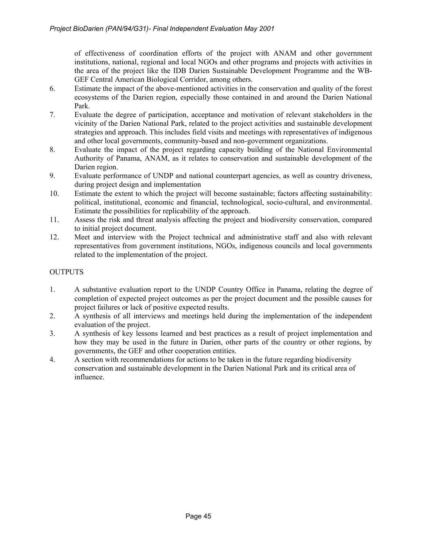of effectiveness of coordination efforts of the project with ANAM and other government institutions, national, regional and local NGOs and other programs and projects with activities in the area of the project like the IDB Darien Sustainable Development Programme and the WB-GEF Central American Biological Corridor, among others.

- 6. Estimate the impact of the above-mentioned activities in the conservation and quality of the forest ecosystems of the Darien region, especially those contained in and around the Darien National Park.
- 7. Evaluate the degree of participation, acceptance and motivation of relevant stakeholders in the vicinity of the Darien National Park, related to the project activities and sustainable development strategies and approach. This includes field visits and meetings with representatives of indigenous and other local governments, community-based and non-government organizations.
- 8. Evaluate the impact of the project regarding capacity building of the National Environmental Authority of Panama, ANAM, as it relates to conservation and sustainable development of the Darien region.
- 9. Evaluate performance of UNDP and national counterpart agencies, as well as country driveness, during project design and implementation
- 10. Estimate the extent to which the project will become sustainable; factors affecting sustainability: political, institutional, economic and financial, technological, socio-cultural, and environmental. Estimate the possibilities for replicability of the approach.
- 11. Assess the risk and threat analysis affecting the project and biodiversity conservation, compared to initial project document.
- 12. Meet and interview with the Project technical and administrative staff and also with relevant representatives from government institutions, NGOs, indigenous councils and local governments related to the implementation of the project.

# **OUTPUTS**

- 1. A substantive evaluation report to the UNDP Country Office in Panama, relating the degree of completion of expected project outcomes as per the project document and the possible causes for project failures or lack of positive expected results.
- 2. A synthesis of all interviews and meetings held during the implementation of the independent evaluation of the project.
- 3. A synthesis of key lessons learned and best practices as a result of project implementation and how they may be used in the future in Darien, other parts of the country or other regions, by governments, the GEF and other cooperation entities.
- 4. A section with recommendations for actions to be taken in the future regarding biodiversity conservation and sustainable development in the Darien National Park and its critical area of influence.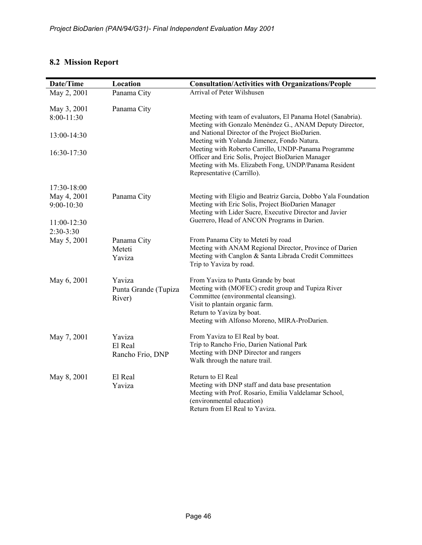# **8.2 Mission Report**

| Date/Time                   | Location                                 | <b>Consultation/Activities with Organizations/People</b>                                                                                                                                                                                          |
|-----------------------------|------------------------------------------|---------------------------------------------------------------------------------------------------------------------------------------------------------------------------------------------------------------------------------------------------|
| May 2, 2001                 | Panama City                              | Arrival of Peter Wilshusen                                                                                                                                                                                                                        |
| May 3, 2001<br>$8:00-11:30$ | Panama City                              | Meeting with team of evaluators, El Panama Hotel (Sanabria).<br>Meeting with Gonzalo Menéndez G., ANAM Deputy Director,                                                                                                                           |
| 13:00-14:30                 |                                          | and National Director of the Project BioDarien.<br>Meeting with Yolanda Jimenez, Fondo Natura.                                                                                                                                                    |
| 16:30-17:30                 |                                          | Meeting with Roberto Carrillo, UNDP-Panama Programme<br>Officer and Eric Solis, Project BioDarien Manager<br>Meeting with Ms. Elizabeth Fong, UNDP/Panama Resident<br>Representative (Carrillo).                                                  |
| 17:30-18:00                 |                                          |                                                                                                                                                                                                                                                   |
| May 4, 2001<br>9:00-10:30   | Panama City                              | Meeting with Eligio and Beatriz Garcia, Dobbo Yala Foundation<br>Meeting with Eric Solis, Project BioDarien Manager<br>Meeting with Lider Sucre, Executive Director and Javier                                                                    |
| 11:00-12:30<br>$2:30-3:30$  |                                          | Guerrero, Head of ANCON Programs in Darien.                                                                                                                                                                                                       |
| May 5, 2001                 | Panama City<br>Meteti<br>Yaviza          | From Panama City to Metetí by road<br>Meeting with ANAM Regional Director, Province of Darien<br>Meeting with Canglon & Santa Librada Credit Committees<br>Trip to Yaviza by road.                                                                |
| May 6, 2001                 | Yaviza<br>Punta Grande (Tupiza<br>River) | From Yaviza to Punta Grande by boat<br>Meeting with (MOFEC) credit group and Tupiza River<br>Committee (environmental cleansing).<br>Visit to plantain organic farm.<br>Return to Yaviza by boat.<br>Meeting with Alfonso Moreno, MIRA-ProDarien. |
| May 7, 2001                 | Yaviza<br>El Real<br>Rancho Frio, DNP    | From Yaviza to El Real by boat.<br>Trip to Rancho Frio, Darien National Park<br>Meeting with DNP Director and rangers<br>Walk through the nature trail.                                                                                           |
| May 8, 2001                 | El Real<br>Yaviza                        | Return to El Real<br>Meeting with DNP staff and data base presentation<br>Meeting with Prof. Rosario, Emilia Valdelamar School,<br>(environmental education)<br>Return from El Real to Yaviza.                                                    |